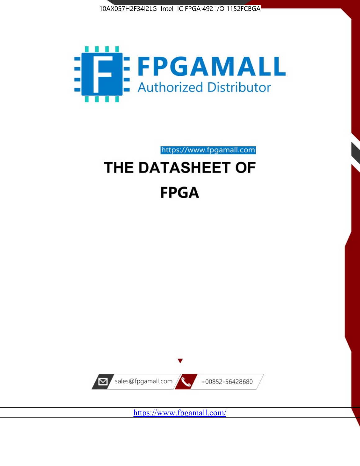



https://www.fpgamall.com

# THE DATASHEET OF **FPGA**



<https://www.fpgamall.com/>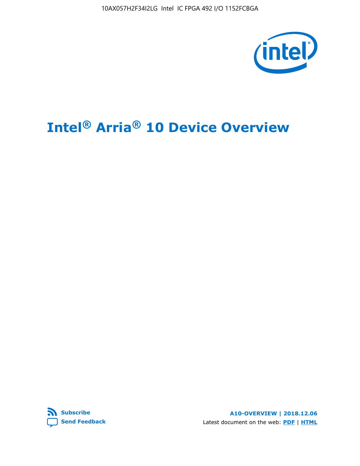10AX057H2F34I2LG Intel IC FPGA 492 I/O 1152FCBGA



# **Intel® Arria® 10 Device Overview**



**A10-OVERVIEW | 2018.12.06** Latest document on the web: **[PDF](https://www.intel.com/content/dam/www/programmable/us/en/pdfs/literature/hb/arria-10/a10_overview.pdf)** | **[HTML](https://www.intel.com/content/www/us/en/programmable/documentation/sam1403480274650.html)**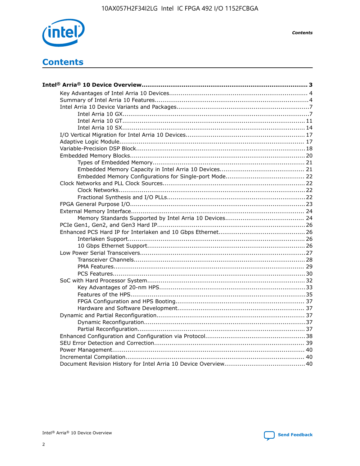

**Contents** 

# **Contents**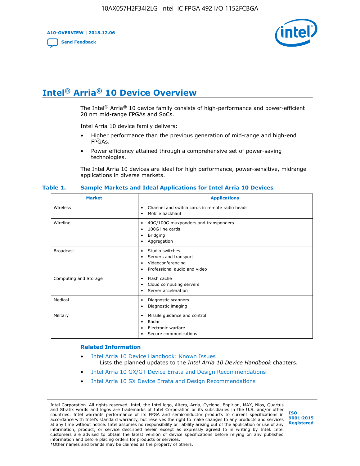**A10-OVERVIEW | 2018.12.06**

**[Send Feedback](mailto:FPGAtechdocfeedback@intel.com?subject=Feedback%20on%20Intel%20Arria%2010%20Device%20Overview%20(A10-OVERVIEW%202018.12.06)&body=We%20appreciate%20your%20feedback.%20In%20your%20comments,%20also%20specify%20the%20page%20number%20or%20paragraph.%20Thank%20you.)**



# **Intel® Arria® 10 Device Overview**

The Intel<sup>®</sup> Arria<sup>®</sup> 10 device family consists of high-performance and power-efficient 20 nm mid-range FPGAs and SoCs.

Intel Arria 10 device family delivers:

- Higher performance than the previous generation of mid-range and high-end FPGAs.
- Power efficiency attained through a comprehensive set of power-saving technologies.

The Intel Arria 10 devices are ideal for high performance, power-sensitive, midrange applications in diverse markets.

| <b>Market</b>         | <b>Applications</b>                                                                                               |
|-----------------------|-------------------------------------------------------------------------------------------------------------------|
| Wireless              | Channel and switch cards in remote radio heads<br>٠<br>Mobile backhaul<br>٠                                       |
| Wireline              | 40G/100G muxponders and transponders<br>٠<br>100G line cards<br>٠<br><b>Bridging</b><br>٠<br>Aggregation<br>٠     |
| <b>Broadcast</b>      | Studio switches<br>٠<br>Servers and transport<br>٠<br>Videoconferencing<br>٠<br>Professional audio and video<br>٠ |
| Computing and Storage | Flash cache<br>٠<br>Cloud computing servers<br>٠<br>Server acceleration<br>٠                                      |
| Medical               | Diagnostic scanners<br>٠<br>Diagnostic imaging<br>٠                                                               |
| Military              | Missile guidance and control<br>٠<br>Radar<br>٠<br>Electronic warfare<br>٠<br>Secure communications<br>٠          |

#### **Table 1. Sample Markets and Ideal Applications for Intel Arria 10 Devices**

#### **Related Information**

- [Intel Arria 10 Device Handbook: Known Issues](http://www.altera.com/support/kdb/solutions/rd07302013_646.html) Lists the planned updates to the *Intel Arria 10 Device Handbook* chapters.
- [Intel Arria 10 GX/GT Device Errata and Design Recommendations](https://www.intel.com/content/www/us/en/programmable/documentation/agz1493851706374.html#yqz1494433888646)
- [Intel Arria 10 SX Device Errata and Design Recommendations](https://www.intel.com/content/www/us/en/programmable/documentation/cru1462832385668.html#cru1462832558642)

Intel Corporation. All rights reserved. Intel, the Intel logo, Altera, Arria, Cyclone, Enpirion, MAX, Nios, Quartus and Stratix words and logos are trademarks of Intel Corporation or its subsidiaries in the U.S. and/or other countries. Intel warrants performance of its FPGA and semiconductor products to current specifications in accordance with Intel's standard warranty, but reserves the right to make changes to any products and services at any time without notice. Intel assumes no responsibility or liability arising out of the application or use of any information, product, or service described herein except as expressly agreed to in writing by Intel. Intel customers are advised to obtain the latest version of device specifications before relying on any published information and before placing orders for products or services. \*Other names and brands may be claimed as the property of others.

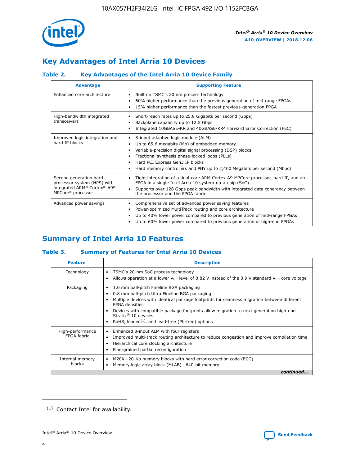

# **Key Advantages of Intel Arria 10 Devices**

## **Table 2. Key Advantages of the Intel Arria 10 Device Family**

| <b>Advantage</b>                                                                                          | <b>Supporting Feature</b>                                                                                                                                                                                                                                                                                                |
|-----------------------------------------------------------------------------------------------------------|--------------------------------------------------------------------------------------------------------------------------------------------------------------------------------------------------------------------------------------------------------------------------------------------------------------------------|
| Enhanced core architecture                                                                                | Built on TSMC's 20 nm process technology<br>٠<br>60% higher performance than the previous generation of mid-range FPGAs<br>٠<br>15% higher performance than the fastest previous-generation FPGA<br>٠                                                                                                                    |
| High-bandwidth integrated<br>transceivers                                                                 | Short-reach rates up to 25.8 Gigabits per second (Gbps)<br>٠<br>Backplane capability up to 12.5 Gbps<br>٠<br>Integrated 10GBASE-KR and 40GBASE-KR4 Forward Error Correction (FEC)<br>٠                                                                                                                                   |
| Improved logic integration and<br>hard IP blocks                                                          | 8-input adaptive logic module (ALM)<br>٠<br>Up to 65.6 megabits (Mb) of embedded memory<br>٠<br>Variable-precision digital signal processing (DSP) blocks<br>Fractional synthesis phase-locked loops (PLLs)<br>Hard PCI Express Gen3 IP blocks<br>Hard memory controllers and PHY up to 2,400 Megabits per second (Mbps) |
| Second generation hard<br>processor system (HPS) with<br>integrated ARM* Cortex*-A9*<br>MPCore* processor | Tight integration of a dual-core ARM Cortex-A9 MPCore processor, hard IP, and an<br>٠<br>FPGA in a single Intel Arria 10 system-on-a-chip (SoC)<br>Supports over 128 Gbps peak bandwidth with integrated data coherency between<br>$\bullet$<br>the processor and the FPGA fabric                                        |
| Advanced power savings                                                                                    | Comprehensive set of advanced power saving features<br>٠<br>Power-optimized MultiTrack routing and core architecture<br>٠<br>Up to 40% lower power compared to previous generation of mid-range FPGAs<br>Up to 60% lower power compared to previous generation of high-end FPGAs                                         |

# **Summary of Intel Arria 10 Features**

## **Table 3. Summary of Features for Intel Arria 10 Devices**

| <b>Feature</b>                  | <b>Description</b>                                                                                                                                                                                                                                                                                                                                                                                       |
|---------------------------------|----------------------------------------------------------------------------------------------------------------------------------------------------------------------------------------------------------------------------------------------------------------------------------------------------------------------------------------------------------------------------------------------------------|
| Technology                      | TSMC's 20-nm SoC process technology<br>٠<br>Allows operation at a lower $V_{\text{CC}}$ level of 0.82 V instead of the 0.9 V standard $V_{\text{CC}}$ core voltage                                                                                                                                                                                                                                       |
| Packaging                       | 1.0 mm ball-pitch Fineline BGA packaging<br>0.8 mm ball-pitch Ultra Fineline BGA packaging<br>Multiple devices with identical package footprints for seamless migration between different<br><b>FPGA</b> densities<br>Devices with compatible package footprints allow migration to next generation high-end<br>Stratix $\mathcal{R}$ 10 devices<br>RoHS, leaded $(1)$ , and lead-free (Pb-free) options |
| High-performance<br>FPGA fabric | Enhanced 8-input ALM with four registers<br>٠<br>Improved multi-track routing architecture to reduce congestion and improve compilation time<br>Hierarchical core clocking architecture<br>Fine-grained partial reconfiguration                                                                                                                                                                          |
| Internal memory<br>blocks       | M20K-20-Kb memory blocks with hard error correction code (ECC)<br>Memory logic array block (MLAB)-640-bit memory                                                                                                                                                                                                                                                                                         |
|                                 | continued                                                                                                                                                                                                                                                                                                                                                                                                |



<sup>(1)</sup> Contact Intel for availability.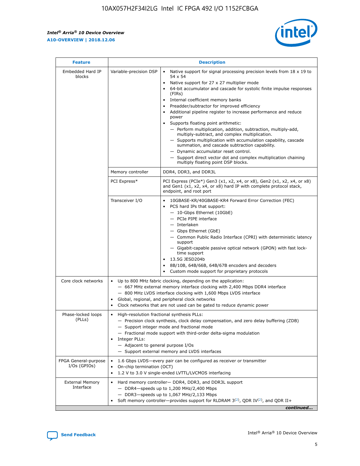r



| <b>Feature</b>                         | <b>Description</b>                                                                                             |                                                                                                                                                                                                                                                                                                                                                                                                                                                                                                                                                                                                                                                                                                                                                                                                                                                                  |  |  |  |  |  |
|----------------------------------------|----------------------------------------------------------------------------------------------------------------|------------------------------------------------------------------------------------------------------------------------------------------------------------------------------------------------------------------------------------------------------------------------------------------------------------------------------------------------------------------------------------------------------------------------------------------------------------------------------------------------------------------------------------------------------------------------------------------------------------------------------------------------------------------------------------------------------------------------------------------------------------------------------------------------------------------------------------------------------------------|--|--|--|--|--|
| Embedded Hard IP<br>blocks             | Variable-precision DSP                                                                                         | Native support for signal processing precision levels from $18 \times 19$ to<br>$\bullet$<br>54 x 54<br>Native support for 27 x 27 multiplier mode<br>$\bullet$<br>64-bit accumulator and cascade for systolic finite impulse responses<br>(FIRs)<br>Internal coefficient memory banks<br>$\bullet$<br>Preadder/subtractor for improved efficiency<br>Additional pipeline register to increase performance and reduce<br>power<br>Supports floating point arithmetic:<br>- Perform multiplication, addition, subtraction, multiply-add,<br>multiply-subtract, and complex multiplication.<br>- Supports multiplication with accumulation capability, cascade<br>summation, and cascade subtraction capability.<br>- Dynamic accumulator reset control.<br>- Support direct vector dot and complex multiplication chaining<br>multiply floating point DSP blocks. |  |  |  |  |  |
|                                        | Memory controller                                                                                              | DDR4, DDR3, and DDR3L                                                                                                                                                                                                                                                                                                                                                                                                                                                                                                                                                                                                                                                                                                                                                                                                                                            |  |  |  |  |  |
|                                        | PCI Express*                                                                                                   | PCI Express (PCIe*) Gen3 (x1, x2, x4, or x8), Gen2 (x1, x2, x4, or x8)<br>and Gen1 (x1, x2, x4, or x8) hard IP with complete protocol stack,<br>endpoint, and root port                                                                                                                                                                                                                                                                                                                                                                                                                                                                                                                                                                                                                                                                                          |  |  |  |  |  |
|                                        | Transceiver I/O                                                                                                | 10GBASE-KR/40GBASE-KR4 Forward Error Correction (FEC)<br>PCS hard IPs that support:<br>- 10-Gbps Ethernet (10GbE)<br>- PCIe PIPE interface<br>- Interlaken<br>- Gbps Ethernet (GbE)<br>- Common Public Radio Interface (CPRI) with deterministic latency<br>support<br>- Gigabit-capable passive optical network (GPON) with fast lock-<br>time support<br>13.5G JESD204b<br>$\bullet$<br>8B/10B, 64B/66B, 64B/67B encoders and decoders<br>Custom mode support for proprietary protocols                                                                                                                                                                                                                                                                                                                                                                        |  |  |  |  |  |
| Core clock networks                    | $\bullet$                                                                                                      | Up to 800 MHz fabric clocking, depending on the application:<br>- 667 MHz external memory interface clocking with 2,400 Mbps DDR4 interface<br>- 800 MHz LVDS interface clocking with 1,600 Mbps LVDS interface<br>Global, regional, and peripheral clock networks<br>Clock networks that are not used can be gated to reduce dynamic power                                                                                                                                                                                                                                                                                                                                                                                                                                                                                                                      |  |  |  |  |  |
| Phase-locked loops<br>(PLLs)           | High-resolution fractional synthesis PLLs:<br>$\bullet$<br>Integer PLLs:<br>- Adjacent to general purpose I/Os | - Precision clock synthesis, clock delay compensation, and zero delay buffering (ZDB)<br>- Support integer mode and fractional mode<br>- Fractional mode support with third-order delta-sigma modulation<br>- Support external memory and LVDS interfaces                                                                                                                                                                                                                                                                                                                                                                                                                                                                                                                                                                                                        |  |  |  |  |  |
| FPGA General-purpose<br>$I/Os$ (GPIOs) | On-chip termination (OCT)<br>$\bullet$                                                                         | 1.6 Gbps LVDS-every pair can be configured as receiver or transmitter<br>1.2 V to 3.0 V single-ended LVTTL/LVCMOS interfacing                                                                                                                                                                                                                                                                                                                                                                                                                                                                                                                                                                                                                                                                                                                                    |  |  |  |  |  |
| <b>External Memory</b><br>Interface    | $\bullet$                                                                                                      | Hard memory controller- DDR4, DDR3, and DDR3L support<br>$-$ DDR4-speeds up to 1,200 MHz/2,400 Mbps<br>- DDR3-speeds up to 1,067 MHz/2,133 Mbps<br>Soft memory controller—provides support for RLDRAM $3^{(2)}$ , QDR IV $^{(2)}$ , and QDR II+<br>continued                                                                                                                                                                                                                                                                                                                                                                                                                                                                                                                                                                                                     |  |  |  |  |  |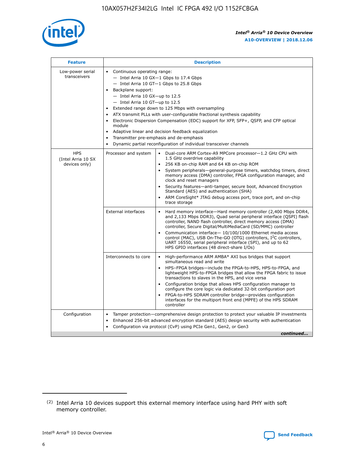

| <b>Feature</b>                                    | <b>Description</b>                                                                                                                                                                                                                                                                                                                                                                                                                                                                                                                                                                                                                                    |  |  |  |  |  |  |  |
|---------------------------------------------------|-------------------------------------------------------------------------------------------------------------------------------------------------------------------------------------------------------------------------------------------------------------------------------------------------------------------------------------------------------------------------------------------------------------------------------------------------------------------------------------------------------------------------------------------------------------------------------------------------------------------------------------------------------|--|--|--|--|--|--|--|
| Low-power serial<br>transceivers                  | • Continuous operating range:<br>- Intel Arria 10 GX-1 Gbps to 17.4 Gbps<br>- Intel Arria 10 GT-1 Gbps to 25.8 Gbps<br>Backplane support:<br>$-$ Intel Arria 10 GX-up to 12.5<br>- Intel Arria 10 GT-up to 12.5<br>Extended range down to 125 Mbps with oversampling<br>ATX transmit PLLs with user-configurable fractional synthesis capability<br>Electronic Dispersion Compensation (EDC) support for XFP, SFP+, QSFP, and CFP optical<br>module<br>Adaptive linear and decision feedback equalization<br>$\bullet$<br>Transmitter pre-emphasis and de-emphasis<br>$\bullet$<br>Dynamic partial reconfiguration of individual transceiver channels |  |  |  |  |  |  |  |
| <b>HPS</b><br>(Intel Arria 10 SX<br>devices only) | • Dual-core ARM Cortex-A9 MPCore processor-1.2 GHz CPU with<br>Processor and system<br>1.5 GHz overdrive capability<br>256 KB on-chip RAM and 64 KB on-chip ROM<br>$\bullet$<br>System peripherals—general-purpose timers, watchdog timers, direct<br>memory access (DMA) controller, FPGA configuration manager, and<br>clock and reset managers<br>Security features—anti-tamper, secure boot, Advanced Encryption<br>$\bullet$<br>Standard (AES) and authentication (SHA)<br>ARM CoreSight* JTAG debug access port, trace port, and on-chip<br>$\bullet$<br>trace storage                                                                          |  |  |  |  |  |  |  |
|                                                   | <b>External interfaces</b><br>Hard memory interface-Hard memory controller (2,400 Mbps DDR4,<br>$\bullet$<br>and 2,133 Mbps DDR3), Quad serial peripheral interface (QSPI) flash<br>controller, NAND flash controller, direct memory access (DMA)<br>controller, Secure Digital/MultiMediaCard (SD/MMC) controller<br>Communication interface-10/100/1000 Ethernet media access<br>$\bullet$<br>control (MAC), USB On-The-GO (OTG) controllers, I <sup>2</sup> C controllers,<br>UART 16550, serial peripheral interface (SPI), and up to 62<br>HPS GPIO interfaces (48 direct-share I/Os)                                                            |  |  |  |  |  |  |  |
|                                                   | High-performance ARM AMBA* AXI bus bridges that support<br>Interconnects to core<br>$\bullet$<br>simultaneous read and write<br>HPS-FPGA bridges-include the FPGA-to-HPS, HPS-to-FPGA, and<br>$\bullet$<br>lightweight HPS-to-FPGA bridges that allow the FPGA fabric to issue<br>transactions to slaves in the HPS, and vice versa<br>Configuration bridge that allows HPS configuration manager to<br>configure the core logic via dedicated 32-bit configuration port<br>FPGA-to-HPS SDRAM controller bridge-provides configuration<br>interfaces for the multiport front end (MPFE) of the HPS SDRAM<br>controller                                |  |  |  |  |  |  |  |
| Configuration                                     | Tamper protection—comprehensive design protection to protect your valuable IP investments<br>Enhanced 256-bit advanced encryption standard (AES) design security with authentication<br>٠<br>Configuration via protocol (CvP) using PCIe Gen1, Gen2, or Gen3<br>continued                                                                                                                                                                                                                                                                                                                                                                             |  |  |  |  |  |  |  |

<sup>(2)</sup> Intel Arria 10 devices support this external memory interface using hard PHY with soft memory controller.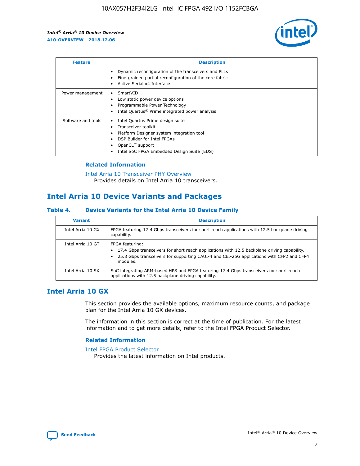

| <b>Feature</b>     | <b>Description</b>                                                                                                                                                                                                            |
|--------------------|-------------------------------------------------------------------------------------------------------------------------------------------------------------------------------------------------------------------------------|
|                    | Dynamic reconfiguration of the transceivers and PLLs<br>Fine-grained partial reconfiguration of the core fabric<br>Active Serial x4 Interface<br>$\bullet$                                                                    |
| Power management   | SmartVID<br>Low static power device options<br>Programmable Power Technology<br>Intel Quartus <sup>®</sup> Prime integrated power analysis                                                                                    |
| Software and tools | Intel Quartus Prime design suite<br>Transceiver toolkit<br>$\bullet$<br>Platform Designer system integration tool<br>DSP Builder for Intel FPGAs<br>OpenCL <sup>"</sup> support<br>Intel SoC FPGA Embedded Design Suite (EDS) |

## **Related Information**

[Intel Arria 10 Transceiver PHY Overview](https://www.intel.com/content/www/us/en/programmable/documentation/nik1398707230472.html#nik1398706768037) Provides details on Intel Arria 10 transceivers.

# **Intel Arria 10 Device Variants and Packages**

#### **Table 4. Device Variants for the Intel Arria 10 Device Family**

| <b>Variant</b>    | <b>Description</b>                                                                                                                                                                                                     |
|-------------------|------------------------------------------------------------------------------------------------------------------------------------------------------------------------------------------------------------------------|
| Intel Arria 10 GX | FPGA featuring 17.4 Gbps transceivers for short reach applications with 12.5 backplane driving<br>capability.                                                                                                          |
| Intel Arria 10 GT | FPGA featuring:<br>17.4 Gbps transceivers for short reach applications with 12.5 backplane driving capability.<br>25.8 Gbps transceivers for supporting CAUI-4 and CEI-25G applications with CFP2 and CFP4<br>modules. |
| Intel Arria 10 SX | SoC integrating ARM-based HPS and FPGA featuring 17.4 Gbps transceivers for short reach<br>applications with 12.5 backplane driving capability.                                                                        |

## **Intel Arria 10 GX**

This section provides the available options, maximum resource counts, and package plan for the Intel Arria 10 GX devices.

The information in this section is correct at the time of publication. For the latest information and to get more details, refer to the Intel FPGA Product Selector.

#### **Related Information**

#### [Intel FPGA Product Selector](http://www.altera.com/products/selector/psg-selector.html) Provides the latest information on Intel products.

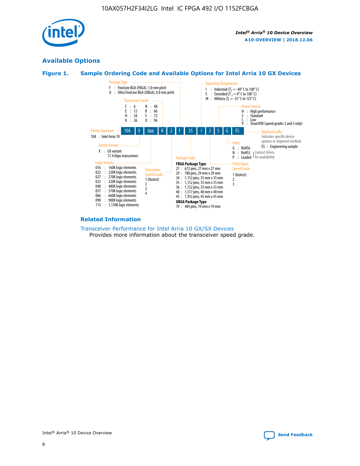

## **Available Options**





#### **Related Information**

[Transceiver Performance for Intel Arria 10 GX/SX Devices](https://www.intel.com/content/www/us/en/programmable/documentation/mcn1413182292568.html#mcn1413213965502) Provides more information about the transceiver speed grade.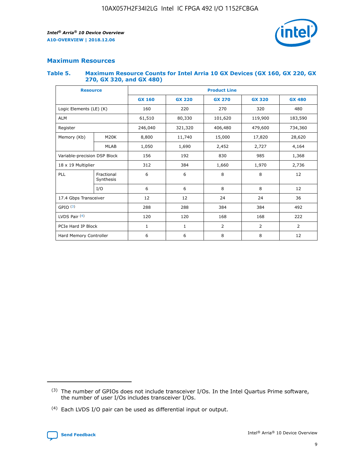

## **Maximum Resources**

#### **Table 5. Maximum Resource Counts for Intel Arria 10 GX Devices (GX 160, GX 220, GX 270, GX 320, and GX 480)**

| <b>Resource</b>              |                         | <b>Product Line</b> |                                                 |                  |                |                |  |  |  |
|------------------------------|-------------------------|---------------------|-------------------------------------------------|------------------|----------------|----------------|--|--|--|
|                              |                         | <b>GX 160</b>       | <b>GX 220</b><br><b>GX 270</b><br><b>GX 320</b> |                  |                | <b>GX 480</b>  |  |  |  |
| Logic Elements (LE) (K)      |                         | 160                 | 220                                             | 270              | 320            | 480            |  |  |  |
| <b>ALM</b>                   |                         | 61,510              | 80,330                                          | 101,620          | 119,900        | 183,590        |  |  |  |
| Register                     |                         | 246,040             | 406,480<br>321,320                              |                  | 479,600        | 734,360        |  |  |  |
| Memory (Kb)                  | M <sub>20</sub> K       | 8,800               | 11,740                                          | 15,000<br>17,820 |                | 28,620         |  |  |  |
|                              | <b>MLAB</b>             | 1,050               | 1,690                                           | 2,452            | 2,727          | 4,164          |  |  |  |
| Variable-precision DSP Block |                         | 156                 | 192                                             | 830              | 985            | 1,368          |  |  |  |
| 18 x 19 Multiplier           |                         | 312                 | 384                                             | 1,970<br>1,660   |                | 2,736          |  |  |  |
| PLL                          | Fractional<br>Synthesis | 6                   | 6                                               | 8                | 8              | 12             |  |  |  |
|                              | I/O                     | 6                   | 6                                               | 8                | 8              | 12             |  |  |  |
| 17.4 Gbps Transceiver        |                         | 12                  | 12                                              | 24               | 24             | 36             |  |  |  |
| GPIO <sup>(3)</sup>          |                         | 288                 | 288                                             | 384<br>384       |                | 492            |  |  |  |
| LVDS Pair $(4)$              |                         | 120                 | 120                                             | 168              | 168            | 222            |  |  |  |
| PCIe Hard IP Block           |                         | 1                   | 1                                               | 2                | $\overline{2}$ | $\overline{2}$ |  |  |  |
| Hard Memory Controller       |                         | 6                   | 6                                               | 8                | 8              | 12             |  |  |  |

<sup>(4)</sup> Each LVDS I/O pair can be used as differential input or output.



<sup>(3)</sup> The number of GPIOs does not include transceiver I/Os. In the Intel Quartus Prime software, the number of user I/Os includes transceiver I/Os.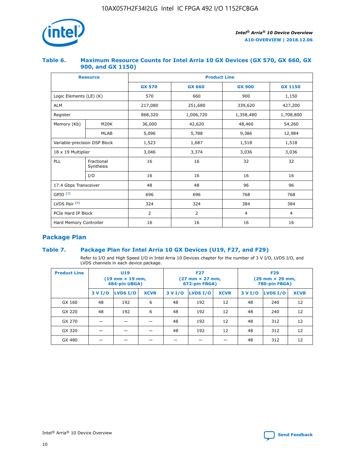

## **Table 6. Maximum Resource Counts for Intel Arria 10 GX Devices (GX 570, GX 660, GX 900, and GX 1150)**

|                              | <b>Resource</b>         | <b>Product Line</b> |                |                |                |  |  |  |
|------------------------------|-------------------------|---------------------|----------------|----------------|----------------|--|--|--|
|                              |                         | <b>GX 570</b>       | <b>GX 660</b>  | <b>GX 900</b>  | <b>GX 1150</b> |  |  |  |
| Logic Elements (LE) (K)      |                         | 570                 | 660            | 900            | 1,150          |  |  |  |
| <b>ALM</b>                   |                         | 217,080             | 251,680        | 339,620        | 427,200        |  |  |  |
| Register                     |                         | 868,320             | 1,006,720      |                | 1,708,800      |  |  |  |
| Memory (Kb)                  | <b>M20K</b>             | 36,000              | 42,620         | 48,460         | 54,260         |  |  |  |
|                              | <b>MLAB</b>             | 5,096               | 5,788          | 9,386          | 12,984         |  |  |  |
| Variable-precision DSP Block |                         | 1,523               | 1,687          | 1,518          | 1,518          |  |  |  |
| 18 x 19 Multiplier           |                         | 3,046               | 3,374          | 3,036          | 3,036          |  |  |  |
| PLL                          | Fractional<br>Synthesis | 16                  | 16             | 32             | 32             |  |  |  |
|                              | I/O                     | 16                  | 16             | 16             | 16             |  |  |  |
| 17.4 Gbps Transceiver        |                         | 48                  | 48             |                | 96             |  |  |  |
| GPIO <sup>(3)</sup>          |                         | 696                 | 696            | 768            | 768            |  |  |  |
| LVDS Pair $(4)$              |                         | 324                 | 324            | 384            | 384            |  |  |  |
| PCIe Hard IP Block           |                         | 2                   | $\overline{2}$ | $\overline{4}$ | $\overline{4}$ |  |  |  |
| Hard Memory Controller       |                         | 16                  | 16             | 16             | 16             |  |  |  |

## **Package Plan**

## **Table 7. Package Plan for Intel Arria 10 GX Devices (U19, F27, and F29)**

Refer to I/O and High Speed I/O in Intel Arria 10 Devices chapter for the number of 3 V I/O, LVDS I/O, and LVDS channels in each device package.

| <b>Product Line</b> | U <sub>19</sub><br>$(19 \text{ mm} \times 19 \text{ mm})$<br>484-pin UBGA) |          |             | <b>F27</b><br>(27 mm × 27 mm,<br>672-pin FBGA) |          |             | <b>F29</b><br>(29 mm × 29 mm,<br>780-pin FBGA) |          |             |  |
|---------------------|----------------------------------------------------------------------------|----------|-------------|------------------------------------------------|----------|-------------|------------------------------------------------|----------|-------------|--|
|                     | 3 V I/O                                                                    | LVDS I/O | <b>XCVR</b> | 3 V I/O                                        | LVDS I/O | <b>XCVR</b> | 3 V I/O                                        | LVDS I/O | <b>XCVR</b> |  |
| GX 160              | 48                                                                         | 192      | 6           | 48                                             | 192      | 12          | 48                                             | 240      | 12          |  |
| GX 220              | 48                                                                         | 192      | 6           | 48                                             | 192      | 12          | 48                                             | 240      | 12          |  |
| GX 270              |                                                                            |          |             | 48                                             | 192      | 12          | 48                                             | 312      | 12          |  |
| GX 320              |                                                                            |          |             | 48                                             | 192      | 12          | 48                                             | 312      | 12          |  |
| GX 480              |                                                                            |          |             |                                                |          |             | 48                                             | 312      | 12          |  |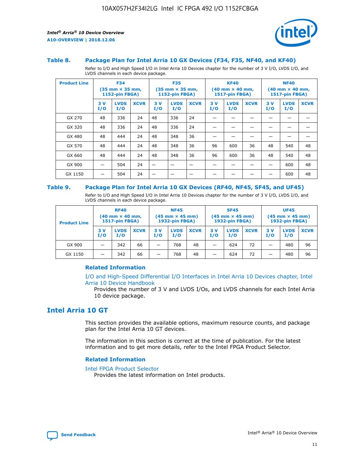

#### **Table 8. Package Plan for Intel Arria 10 GX Devices (F34, F35, NF40, and KF40)**

Refer to I/O and High Speed I/O in Intel Arria 10 Devices chapter for the number of 3 V I/O, LVDS I/O, and LVDS channels in each device package.

| <b>Product Line</b> | <b>F34</b><br>$(35 \text{ mm} \times 35 \text{ mm})$<br>1152-pin FBGA) |                    | <b>F35</b><br>$(35 \text{ mm} \times 35 \text{ mm})$<br><b>1152-pin FBGA)</b> |           | <b>KF40</b><br>$(40$ mm $\times$ 40 mm,<br>1517-pin FBGA) |             |           | <b>NF40</b><br>$(40$ mm $\times$ 40 mm,<br><b>1517-pin FBGA)</b> |             |            |                    |             |
|---------------------|------------------------------------------------------------------------|--------------------|-------------------------------------------------------------------------------|-----------|-----------------------------------------------------------|-------------|-----------|------------------------------------------------------------------|-------------|------------|--------------------|-------------|
|                     | 3V<br>I/O                                                              | <b>LVDS</b><br>I/O | <b>XCVR</b>                                                                   | 3V<br>I/O | <b>LVDS</b><br>I/O                                        | <b>XCVR</b> | 3V<br>I/O | <b>LVDS</b><br>I/O                                               | <b>XCVR</b> | 3 V<br>I/O | <b>LVDS</b><br>I/O | <b>XCVR</b> |
| GX 270              | 48                                                                     | 336                | 24                                                                            | 48        | 336                                                       | 24          |           |                                                                  |             |            |                    |             |
| GX 320              | 48                                                                     | 336                | 24                                                                            | 48        | 336                                                       | 24          |           |                                                                  |             |            |                    |             |
| GX 480              | 48                                                                     | 444                | 24                                                                            | 48        | 348                                                       | 36          |           |                                                                  |             |            |                    |             |
| GX 570              | 48                                                                     | 444                | 24                                                                            | 48        | 348                                                       | 36          | 96        | 600                                                              | 36          | 48         | 540                | 48          |
| GX 660              | 48                                                                     | 444                | 24                                                                            | 48        | 348                                                       | 36          | 96        | 600                                                              | 36          | 48         | 540                | 48          |
| GX 900              |                                                                        | 504                | 24                                                                            | -         |                                                           |             |           |                                                                  |             |            | 600                | 48          |
| GX 1150             |                                                                        | 504                | 24                                                                            |           |                                                           |             |           |                                                                  |             |            | 600                | 48          |

#### **Table 9. Package Plan for Intel Arria 10 GX Devices (RF40, NF45, SF45, and UF45)**

Refer to I/O and High Speed I/O in Intel Arria 10 Devices chapter for the number of 3 V I/O, LVDS I/O, and LVDS channels in each device package.

| <b>Product Line</b> | <b>RF40</b><br>$(40$ mm $\times$ 40 mm,<br>1517-pin FBGA) |                    | <b>NF45</b><br>$(45 \text{ mm} \times 45 \text{ mm})$<br><b>1932-pin FBGA)</b> |            |                    | <b>SF45</b><br>$(45 \text{ mm} \times 45 \text{ mm})$<br><b>1932-pin FBGA)</b> |            |                    | <b>UF45</b><br>$(45 \text{ mm} \times 45 \text{ mm})$<br><b>1932-pin FBGA)</b> |           |                    |             |
|---------------------|-----------------------------------------------------------|--------------------|--------------------------------------------------------------------------------|------------|--------------------|--------------------------------------------------------------------------------|------------|--------------------|--------------------------------------------------------------------------------|-----------|--------------------|-------------|
|                     | 3V<br>I/O                                                 | <b>LVDS</b><br>I/O | <b>XCVR</b>                                                                    | 3 V<br>I/O | <b>LVDS</b><br>I/O | <b>XCVR</b>                                                                    | 3 V<br>I/O | <b>LVDS</b><br>I/O | <b>XCVR</b>                                                                    | 3V<br>I/O | <b>LVDS</b><br>I/O | <b>XCVR</b> |
| GX 900              |                                                           | 342                | 66                                                                             | _          | 768                | 48                                                                             |            | 624                | 72                                                                             |           | 480                | 96          |
| GX 1150             |                                                           | 342                | 66                                                                             | _          | 768                | 48                                                                             |            | 624                | 72                                                                             |           | 480                | 96          |

#### **Related Information**

[I/O and High-Speed Differential I/O Interfaces in Intel Arria 10 Devices chapter, Intel](https://www.intel.com/content/www/us/en/programmable/documentation/sam1403482614086.html#sam1403482030321) [Arria 10 Device Handbook](https://www.intel.com/content/www/us/en/programmable/documentation/sam1403482614086.html#sam1403482030321)

Provides the number of 3 V and LVDS I/Os, and LVDS channels for each Intel Arria 10 device package.

## **Intel Arria 10 GT**

This section provides the available options, maximum resource counts, and package plan for the Intel Arria 10 GT devices.

The information in this section is correct at the time of publication. For the latest information and to get more details, refer to the Intel FPGA Product Selector.

#### **Related Information**

#### [Intel FPGA Product Selector](http://www.altera.com/products/selector/psg-selector.html)

Provides the latest information on Intel products.

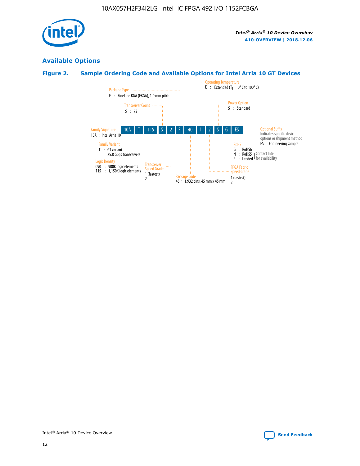

## **Available Options**

## **Figure 2. Sample Ordering Code and Available Options for Intel Arria 10 GT Devices**

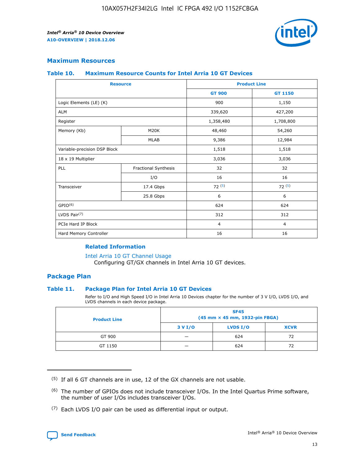

## **Maximum Resources**

#### **Table 10. Maximum Resource Counts for Intel Arria 10 GT Devices**

| <b>Resource</b>              |                      | <b>Product Line</b> |                |  |
|------------------------------|----------------------|---------------------|----------------|--|
|                              |                      | <b>GT 900</b>       | <b>GT 1150</b> |  |
| Logic Elements (LE) (K)      |                      | 900                 | 1,150          |  |
| <b>ALM</b>                   |                      | 339,620             | 427,200        |  |
| Register                     |                      | 1,358,480           | 1,708,800      |  |
| Memory (Kb)                  | M20K                 | 48,460              | 54,260         |  |
|                              | <b>MLAB</b>          | 9,386               | 12,984         |  |
| Variable-precision DSP Block |                      | 1,518               | 1,518          |  |
| 18 x 19 Multiplier           |                      | 3,036               | 3,036          |  |
| PLL                          | Fractional Synthesis | 32                  | 32             |  |
|                              | I/O                  | 16                  | 16             |  |
| Transceiver                  | 17.4 Gbps            | 72(5)               | 72(5)          |  |
|                              | 25.8 Gbps            | 6                   | 6              |  |
| GPIO <sup>(6)</sup>          |                      | 624                 | 624            |  |
| LVDS Pair $(7)$              |                      | 312                 | 312            |  |
| PCIe Hard IP Block           |                      | $\overline{4}$      | $\overline{4}$ |  |
| Hard Memory Controller       |                      | 16                  | 16             |  |

#### **Related Information**

#### [Intel Arria 10 GT Channel Usage](https://www.intel.com/content/www/us/en/programmable/documentation/nik1398707230472.html#nik1398707008178)

Configuring GT/GX channels in Intel Arria 10 GT devices.

## **Package Plan**

#### **Table 11. Package Plan for Intel Arria 10 GT Devices**

Refer to I/O and High Speed I/O in Intel Arria 10 Devices chapter for the number of 3 V I/O, LVDS I/O, and LVDS channels in each device package.

| <b>Product Line</b> | <b>SF45</b><br>(45 mm × 45 mm, 1932-pin FBGA) |                 |             |  |  |  |
|---------------------|-----------------------------------------------|-----------------|-------------|--|--|--|
|                     | 3 V I/O                                       | <b>LVDS I/O</b> | <b>XCVR</b> |  |  |  |
| GT 900              |                                               | 624             | 72          |  |  |  |
| GT 1150             |                                               | 624             | 72          |  |  |  |

<sup>(7)</sup> Each LVDS I/O pair can be used as differential input or output.



 $(5)$  If all 6 GT channels are in use, 12 of the GX channels are not usable.

<sup>(6)</sup> The number of GPIOs does not include transceiver I/Os. In the Intel Quartus Prime software, the number of user I/Os includes transceiver I/Os.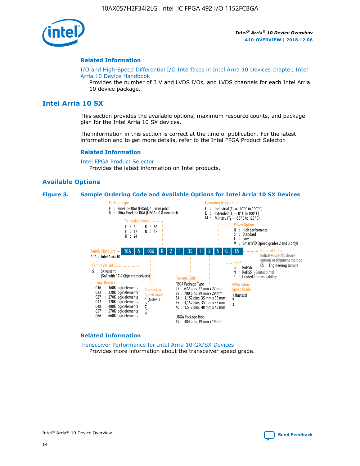

#### **Related Information**

[I/O and High-Speed Differential I/O Interfaces in Intel Arria 10 Devices chapter, Intel](https://www.intel.com/content/www/us/en/programmable/documentation/sam1403482614086.html#sam1403482030321) [Arria 10 Device Handbook](https://www.intel.com/content/www/us/en/programmable/documentation/sam1403482614086.html#sam1403482030321)

Provides the number of 3 V and LVDS I/Os, and LVDS channels for each Intel Arria 10 device package.

## **Intel Arria 10 SX**

This section provides the available options, maximum resource counts, and package plan for the Intel Arria 10 SX devices.

The information in this section is correct at the time of publication. For the latest information and to get more details, refer to the Intel FPGA Product Selector.

#### **Related Information**

[Intel FPGA Product Selector](http://www.altera.com/products/selector/psg-selector.html) Provides the latest information on Intel products.

#### **Available Options**

#### **Figure 3. Sample Ordering Code and Available Options for Intel Arria 10 SX Devices**



#### **Related Information**

[Transceiver Performance for Intel Arria 10 GX/SX Devices](https://www.intel.com/content/www/us/en/programmable/documentation/mcn1413182292568.html#mcn1413213965502) Provides more information about the transceiver speed grade.

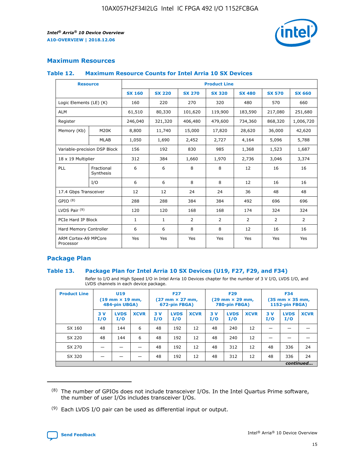

## **Maximum Resources**

#### **Table 12. Maximum Resource Counts for Intel Arria 10 SX Devices**

| <b>Resource</b>                   |                         | <b>Product Line</b> |               |               |                |               |               |               |  |  |  |
|-----------------------------------|-------------------------|---------------------|---------------|---------------|----------------|---------------|---------------|---------------|--|--|--|
|                                   |                         | <b>SX 160</b>       | <b>SX 220</b> | <b>SX 270</b> | <b>SX 320</b>  | <b>SX 480</b> | <b>SX 570</b> | <b>SX 660</b> |  |  |  |
| Logic Elements (LE) (K)           |                         | 160                 | 220           | 270           | 320            | 480           | 570           | 660           |  |  |  |
| <b>ALM</b>                        |                         | 61,510              | 80,330        | 101,620       | 119,900        | 183,590       | 217,080       | 251,680       |  |  |  |
| Register                          |                         | 246,040             | 321,320       | 406,480       | 479,600        | 734,360       | 868,320       | 1,006,720     |  |  |  |
| Memory (Kb)                       | M20K                    | 8,800               | 11,740        | 15,000        | 17,820         | 28,620        | 36,000        | 42,620        |  |  |  |
|                                   | <b>MLAB</b>             | 1,050               | 1,690         | 2,452         | 2,727          | 4,164         | 5,096         | 5,788         |  |  |  |
| Variable-precision DSP Block      |                         | 156                 | 192           | 830           | 985            | 1,368         | 1,523         | 1,687         |  |  |  |
| 18 x 19 Multiplier                |                         | 312                 | 384           | 1,660         | 1,970          | 2,736         | 3,046         | 3,374         |  |  |  |
| PLL                               | Fractional<br>Synthesis | 6                   | 6             | 8             | 8              | 12            | 16            | 16            |  |  |  |
|                                   | I/O                     | 6                   | 6             | 8             | 8              | 12            | 16            | 16            |  |  |  |
| 17.4 Gbps Transceiver             |                         | 12                  | 12            | 24            | 24             | 36            | 48            | 48            |  |  |  |
| GPIO <sup>(8)</sup>               |                         | 288                 | 288           | 384           | 384            | 492           | 696           | 696           |  |  |  |
| LVDS Pair $(9)$                   |                         | 120                 | 120           | 168           | 168            | 174           | 324           | 324           |  |  |  |
| PCIe Hard IP Block                |                         | $\mathbf{1}$        | $\mathbf{1}$  | 2             | $\overline{2}$ | 2             | 2             | 2             |  |  |  |
| Hard Memory Controller            |                         | 6                   | 6             | 8             | 8              | 12            | 16            | 16            |  |  |  |
| ARM Cortex-A9 MPCore<br>Processor |                         | Yes                 | Yes           | Yes           | Yes            | Yes           | Yes           | Yes           |  |  |  |

## **Package Plan**

#### **Table 13. Package Plan for Intel Arria 10 SX Devices (U19, F27, F29, and F34)**

Refer to I/O and High Speed I/O in Intel Arria 10 Devices chapter for the number of 3 V I/O, LVDS I/O, and LVDS channels in each device package.

| <b>Product Line</b> | U19<br>$(19 \text{ mm} \times 19 \text{ mm})$ .<br>484-pin UBGA) |                    |             | <b>F27</b><br>$(27 \text{ mm} \times 27 \text{ mm})$<br>672-pin FBGA) |                    | <b>F29</b><br>$(29 \text{ mm} \times 29 \text{ mm})$<br>780-pin FBGA) |           |                    | <b>F34</b><br>$(35 \text{ mm} \times 35 \text{ mm})$<br><b>1152-pin FBGA)</b> |           |                    |             |
|---------------------|------------------------------------------------------------------|--------------------|-------------|-----------------------------------------------------------------------|--------------------|-----------------------------------------------------------------------|-----------|--------------------|-------------------------------------------------------------------------------|-----------|--------------------|-------------|
|                     | 3V<br>I/O                                                        | <b>LVDS</b><br>I/O | <b>XCVR</b> | 3V<br>I/O                                                             | <b>LVDS</b><br>I/O | <b>XCVR</b>                                                           | 3V<br>I/O | <b>LVDS</b><br>I/O | <b>XCVR</b>                                                                   | 3V<br>I/O | <b>LVDS</b><br>I/O | <b>XCVR</b> |
| SX 160              | 48                                                               | 144                | 6           | 48                                                                    | 192                | 12                                                                    | 48        | 240                | 12                                                                            |           |                    |             |
| SX 220              | 48                                                               | 144                | 6           | 48                                                                    | 192                | 12                                                                    | 48        | 240                | 12                                                                            |           |                    |             |
| SX 270              |                                                                  |                    |             | 48                                                                    | 192                | 12                                                                    | 48        | 312                | 12                                                                            | 48        | 336                | 24          |
| SX 320              |                                                                  |                    |             | 48                                                                    | 192                | 12                                                                    | 48        | 312                | 12                                                                            | 48        | 336                | 24          |
|                     | continued                                                        |                    |             |                                                                       |                    |                                                                       |           |                    |                                                                               |           |                    |             |

 $(8)$  The number of GPIOs does not include transceiver I/Os. In the Intel Quartus Prime software, the number of user I/Os includes transceiver I/Os.

 $(9)$  Each LVDS I/O pair can be used as differential input or output.

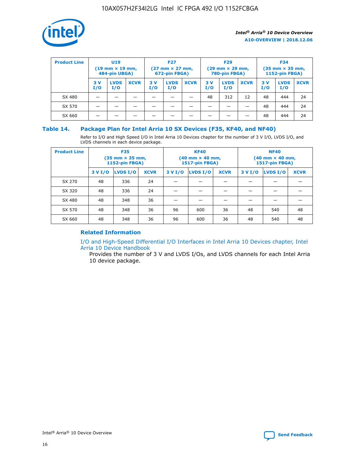

| <b>Product Line</b> | U <sub>19</sub><br>$(19 \text{ mm} \times 19 \text{ mm})$<br>484-pin UBGA) |                    | <b>F27</b><br>$(27 \text{ mm} \times 27 \text{ mm})$<br>672-pin FBGA) |            | <b>F29</b><br>$(29$ mm $\times$ 29 mm,<br>780-pin FBGA) |             |           | <b>F34</b><br>$(35$ mm $\times$ 35 mm,<br><b>1152-pin FBGA)</b> |             |            |                    |             |
|---------------------|----------------------------------------------------------------------------|--------------------|-----------------------------------------------------------------------|------------|---------------------------------------------------------|-------------|-----------|-----------------------------------------------------------------|-------------|------------|--------------------|-------------|
|                     | 3 V<br>I/O                                                                 | <b>LVDS</b><br>I/O | <b>XCVR</b>                                                           | 3 V<br>I/O | <b>LVDS</b><br>I/O                                      | <b>XCVR</b> | 3V<br>I/O | <b>LVDS</b><br>I/O                                              | <b>XCVR</b> | 3 V<br>I/O | <b>LVDS</b><br>I/O | <b>XCVR</b> |
| SX 480              |                                                                            |                    |                                                                       |            |                                                         |             | 48        | 312                                                             | 12          | 48         | 444                | 24          |
| SX 570              |                                                                            |                    |                                                                       |            |                                                         |             |           |                                                                 |             | 48         | 444                | 24          |
| SX 660              |                                                                            |                    |                                                                       |            |                                                         |             |           |                                                                 |             | 48         | 444                | 24          |

## **Table 14. Package Plan for Intel Arria 10 SX Devices (F35, KF40, and NF40)**

Refer to I/O and High Speed I/O in Intel Arria 10 Devices chapter for the number of 3 V I/O, LVDS I/O, and LVDS channels in each device package.

| <b>Product Line</b> | <b>F35</b><br>$(35 \text{ mm} \times 35 \text{ mm})$<br><b>1152-pin FBGA)</b> |          |             |                                           | <b>KF40</b><br>(40 mm × 40 mm,<br>1517-pin FBGA) |    | <b>NF40</b><br>$(40 \text{ mm} \times 40 \text{ mm})$<br>1517-pin FBGA) |          |             |  |
|---------------------|-------------------------------------------------------------------------------|----------|-------------|-------------------------------------------|--------------------------------------------------|----|-------------------------------------------------------------------------|----------|-------------|--|
|                     | 3 V I/O                                                                       | LVDS I/O | <b>XCVR</b> | <b>LVDS I/O</b><br><b>XCVR</b><br>3 V I/O |                                                  |    | 3 V I/O                                                                 | LVDS I/O | <b>XCVR</b> |  |
| SX 270              | 48                                                                            | 336      | 24          |                                           |                                                  |    |                                                                         |          |             |  |
| SX 320              | 48                                                                            | 336      | 24          |                                           |                                                  |    |                                                                         |          |             |  |
| SX 480              | 48                                                                            | 348      | 36          |                                           |                                                  |    |                                                                         |          |             |  |
| SX 570              | 48                                                                            | 348      | 36          | 96                                        | 600                                              | 36 | 48                                                                      | 540      | 48          |  |
| SX 660              | 48                                                                            | 348      | 36          | 96                                        | 600                                              | 36 | 48                                                                      | 540      | 48          |  |

## **Related Information**

[I/O and High-Speed Differential I/O Interfaces in Intel Arria 10 Devices chapter, Intel](https://www.intel.com/content/www/us/en/programmable/documentation/sam1403482614086.html#sam1403482030321) [Arria 10 Device Handbook](https://www.intel.com/content/www/us/en/programmable/documentation/sam1403482614086.html#sam1403482030321)

Provides the number of 3 V and LVDS I/Os, and LVDS channels for each Intel Arria 10 device package.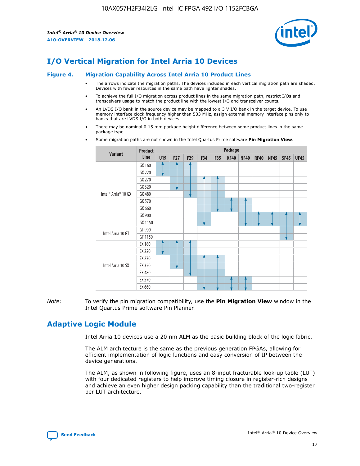

# **I/O Vertical Migration for Intel Arria 10 Devices**

#### **Figure 4. Migration Capability Across Intel Arria 10 Product Lines**

- The arrows indicate the migration paths. The devices included in each vertical migration path are shaded. Devices with fewer resources in the same path have lighter shades.
- To achieve the full I/O migration across product lines in the same migration path, restrict I/Os and transceivers usage to match the product line with the lowest I/O and transceiver counts.
- An LVDS I/O bank in the source device may be mapped to a 3 V I/O bank in the target device. To use memory interface clock frequency higher than 533 MHz, assign external memory interface pins only to banks that are LVDS I/O in both devices.
- There may be nominal 0.15 mm package height difference between some product lines in the same package type.
	- **Variant Product Line Package U19 F27 F29 F34 F35 KF40 NF40 RF40 NF45 SF45 UF45** Intel® Arria® 10 GX GX 160 GX 220 GX 270 GX 320 GX 480 GX 570 GX 660 GX 900 GX 1150 Intel Arria 10 GT GT 900 GT 1150 Intel Arria 10 SX SX 160 SX 220 SX 270 SX 320 SX 480 SX 570 SX 660
- Some migration paths are not shown in the Intel Quartus Prime software **Pin Migration View**.

*Note:* To verify the pin migration compatibility, use the **Pin Migration View** window in the Intel Quartus Prime software Pin Planner.

# **Adaptive Logic Module**

Intel Arria 10 devices use a 20 nm ALM as the basic building block of the logic fabric.

The ALM architecture is the same as the previous generation FPGAs, allowing for efficient implementation of logic functions and easy conversion of IP between the device generations.

The ALM, as shown in following figure, uses an 8-input fracturable look-up table (LUT) with four dedicated registers to help improve timing closure in register-rich designs and achieve an even higher design packing capability than the traditional two-register per LUT architecture.

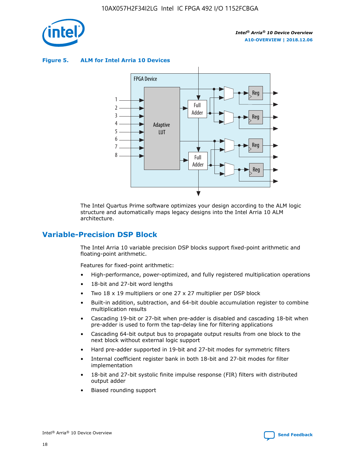

**Figure 5. ALM for Intel Arria 10 Devices**



The Intel Quartus Prime software optimizes your design according to the ALM logic structure and automatically maps legacy designs into the Intel Arria 10 ALM architecture.

## **Variable-Precision DSP Block**

The Intel Arria 10 variable precision DSP blocks support fixed-point arithmetic and floating-point arithmetic.

Features for fixed-point arithmetic:

- High-performance, power-optimized, and fully registered multiplication operations
- 18-bit and 27-bit word lengths
- Two 18 x 19 multipliers or one 27 x 27 multiplier per DSP block
- Built-in addition, subtraction, and 64-bit double accumulation register to combine multiplication results
- Cascading 19-bit or 27-bit when pre-adder is disabled and cascading 18-bit when pre-adder is used to form the tap-delay line for filtering applications
- Cascading 64-bit output bus to propagate output results from one block to the next block without external logic support
- Hard pre-adder supported in 19-bit and 27-bit modes for symmetric filters
- Internal coefficient register bank in both 18-bit and 27-bit modes for filter implementation
- 18-bit and 27-bit systolic finite impulse response (FIR) filters with distributed output adder
- Biased rounding support

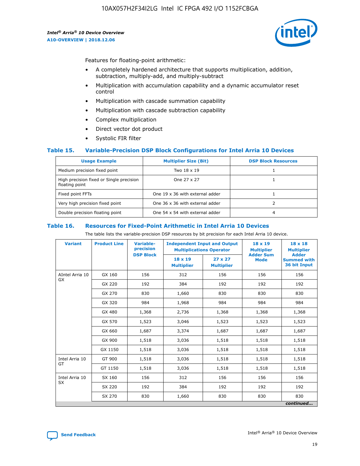

Features for floating-point arithmetic:

- A completely hardened architecture that supports multiplication, addition, subtraction, multiply-add, and multiply-subtract
- Multiplication with accumulation capability and a dynamic accumulator reset control
- Multiplication with cascade summation capability
- Multiplication with cascade subtraction capability
- Complex multiplication
- Direct vector dot product
- Systolic FIR filter

#### **Table 15. Variable-Precision DSP Block Configurations for Intel Arria 10 Devices**

| <b>Usage Example</b>                                       | <b>Multiplier Size (Bit)</b>    | <b>DSP Block Resources</b> |
|------------------------------------------------------------|---------------------------------|----------------------------|
| Medium precision fixed point                               | Two 18 x 19                     |                            |
| High precision fixed or Single precision<br>floating point | One 27 x 27                     |                            |
| Fixed point FFTs                                           | One 19 x 36 with external adder |                            |
| Very high precision fixed point                            | One 36 x 36 with external adder |                            |
| Double precision floating point                            | One 54 x 54 with external adder | 4                          |

#### **Table 16. Resources for Fixed-Point Arithmetic in Intel Arria 10 Devices**

The table lists the variable-precision DSP resources by bit precision for each Intel Arria 10 device.

| <b>Variant</b>  | <b>Product Line</b> | Variable-<br>precision<br><b>DSP Block</b> | <b>Independent Input and Output</b><br><b>Multiplications Operator</b> |                                     | 18 x 19<br><b>Multiplier</b><br><b>Adder Sum</b> | $18 \times 18$<br><b>Multiplier</b><br><b>Adder</b> |
|-----------------|---------------------|--------------------------------------------|------------------------------------------------------------------------|-------------------------------------|--------------------------------------------------|-----------------------------------------------------|
|                 |                     |                                            | 18 x 19<br><b>Multiplier</b>                                           | $27 \times 27$<br><b>Multiplier</b> | <b>Mode</b>                                      | <b>Summed with</b><br>36 bit Input                  |
| AIntel Arria 10 | GX 160              | 156                                        | 312                                                                    | 156                                 | 156                                              | 156                                                 |
| GX              | GX 220              | 192                                        | 384                                                                    | 192                                 | 192                                              | 192                                                 |
|                 | GX 270              | 830                                        | 1,660                                                                  | 830                                 | 830                                              | 830                                                 |
|                 | GX 320              | 984                                        | 1,968                                                                  | 984                                 | 984                                              | 984                                                 |
|                 | GX 480              | 1,368                                      | 2,736                                                                  | 1,368                               | 1,368                                            | 1,368                                               |
|                 | GX 570              | 1,523                                      | 3,046                                                                  | 1,523                               | 1,523                                            | 1,523                                               |
|                 | GX 660              | 1,687                                      | 3,374                                                                  | 1,687                               | 1,687                                            | 1,687                                               |
|                 | GX 900              | 1,518                                      | 3,036                                                                  | 1,518                               | 1,518                                            | 1,518                                               |
|                 | GX 1150             | 1,518                                      | 3,036                                                                  | 1,518                               | 1,518                                            | 1,518                                               |
| Intel Arria 10  | GT 900              | 1,518                                      | 3,036                                                                  | 1,518                               | 1,518                                            | 1,518                                               |
| GT              | GT 1150             | 1,518                                      | 3,036                                                                  | 1,518                               | 1,518                                            | 1,518                                               |
| Intel Arria 10  | SX 160              | 156                                        | 312                                                                    | 156                                 | 156                                              | 156                                                 |
| <b>SX</b>       | SX 220              | 192                                        | 384                                                                    | 192                                 | 192                                              | 192                                                 |
|                 | SX 270              | 830                                        | 1,660                                                                  | 830                                 | 830                                              | 830                                                 |
|                 |                     |                                            |                                                                        |                                     |                                                  | continued                                           |

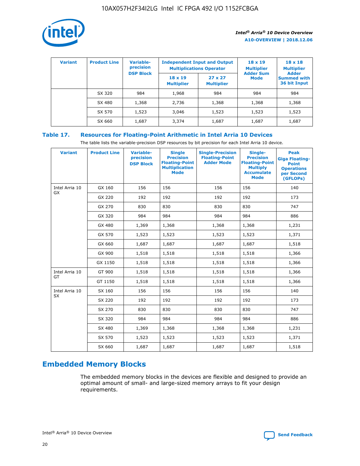

| <b>Variant</b> | <b>Product Line</b> | <b>Variable-</b><br>precision | <b>Multiplications Operator</b>     | <b>Independent Input and Output</b> | $18 \times 19$<br><b>Multiplier</b> | $18 \times 18$<br><b>Multiplier</b><br><b>Adder</b> |  |
|----------------|---------------------|-------------------------------|-------------------------------------|-------------------------------------|-------------------------------------|-----------------------------------------------------|--|
|                |                     | <b>DSP Block</b>              | $18 \times 19$<br><b>Multiplier</b> | $27 \times 27$<br><b>Multiplier</b> | <b>Adder Sum</b><br><b>Mode</b>     | <b>Summed with</b><br>36 bit Input                  |  |
|                | SX 320              | 984                           | 1,968                               | 984                                 | 984                                 | 984                                                 |  |
|                | SX 480              | 1,368                         | 2,736                               | 1,368                               | 1,368                               | 1,368                                               |  |
|                | SX 570              | 1,523                         | 3,046                               | 1,523                               | 1,523                               | 1,523                                               |  |
|                | SX 660              | 1,687                         | 3,374                               | 1,687                               | 1,687                               | 1,687                                               |  |

## **Table 17. Resources for Floating-Point Arithmetic in Intel Arria 10 Devices**

The table lists the variable-precision DSP resources by bit precision for each Intel Arria 10 device.

| <b>Variant</b> | <b>Product Line</b> | <b>Variable-</b><br>precision<br><b>DSP Block</b> | <b>Single</b><br><b>Precision</b><br><b>Floating-Point</b><br><b>Multiplication</b><br><b>Mode</b> | <b>Single-Precision</b><br><b>Floating-Point</b><br><b>Adder Mode</b> | Single-<br><b>Precision</b><br><b>Floating-Point</b><br><b>Multiply</b><br><b>Accumulate</b><br><b>Mode</b> | <b>Peak</b><br><b>Giga Floating-</b><br><b>Point</b><br><b>Operations</b><br>per Second<br>(GFLOPs) |
|----------------|---------------------|---------------------------------------------------|----------------------------------------------------------------------------------------------------|-----------------------------------------------------------------------|-------------------------------------------------------------------------------------------------------------|-----------------------------------------------------------------------------------------------------|
| Intel Arria 10 | GX 160              | 156                                               | 156                                                                                                | 156                                                                   | 156                                                                                                         | 140                                                                                                 |
| GX             | GX 220              | 192                                               | 192                                                                                                | 192                                                                   | 192                                                                                                         | 173                                                                                                 |
|                | GX 270              | 830                                               | 830                                                                                                | 830                                                                   | 830                                                                                                         | 747                                                                                                 |
|                | GX 320              | 984                                               | 984                                                                                                | 984                                                                   | 984                                                                                                         | 886                                                                                                 |
|                | GX 480              | 1,369                                             | 1,368                                                                                              | 1,368                                                                 | 1,368                                                                                                       | 1,231                                                                                               |
|                | GX 570              | 1,523                                             | 1,523                                                                                              | 1,523                                                                 | 1,523                                                                                                       | 1,371                                                                                               |
|                | GX 660              | 1,687                                             | 1,687                                                                                              | 1,687                                                                 | 1,687                                                                                                       | 1,518                                                                                               |
|                | GX 900              | 1,518                                             | 1,518                                                                                              | 1,518                                                                 | 1,518                                                                                                       | 1,366                                                                                               |
|                | GX 1150             | 1,518                                             | 1,518                                                                                              | 1,518                                                                 | 1,518                                                                                                       | 1,366                                                                                               |
| Intel Arria 10 | GT 900              | 1,518                                             | 1,518                                                                                              | 1,518                                                                 | 1,518                                                                                                       | 1,366                                                                                               |
| GT             | GT 1150             | 1,518                                             | 1,518                                                                                              | 1,518                                                                 | 1,518                                                                                                       | 1,366                                                                                               |
| Intel Arria 10 | SX 160              | 156                                               | 156                                                                                                | 156                                                                   | 156                                                                                                         | 140                                                                                                 |
| <b>SX</b>      | SX 220              | 192                                               | 192                                                                                                | 192                                                                   | 192                                                                                                         | 173                                                                                                 |
|                | SX 270              | 830                                               | 830                                                                                                | 830                                                                   | 830                                                                                                         | 747                                                                                                 |
|                | SX 320              | 984                                               | 984                                                                                                | 984                                                                   | 984                                                                                                         | 886                                                                                                 |
|                | SX 480              | 1,369                                             | 1,368                                                                                              | 1,368                                                                 | 1,368                                                                                                       | 1,231                                                                                               |
|                | SX 570              | 1,523                                             | 1,523                                                                                              | 1,523                                                                 | 1,523                                                                                                       | 1,371                                                                                               |
|                | SX 660              | 1,687                                             | 1,687                                                                                              | 1,687                                                                 | 1,687                                                                                                       | 1,518                                                                                               |

# **Embedded Memory Blocks**

The embedded memory blocks in the devices are flexible and designed to provide an optimal amount of small- and large-sized memory arrays to fit your design requirements.

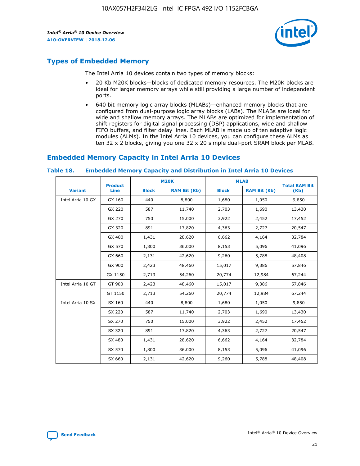

# **Types of Embedded Memory**

The Intel Arria 10 devices contain two types of memory blocks:

- 20 Kb M20K blocks—blocks of dedicated memory resources. The M20K blocks are ideal for larger memory arrays while still providing a large number of independent ports.
- 640 bit memory logic array blocks (MLABs)—enhanced memory blocks that are configured from dual-purpose logic array blocks (LABs). The MLABs are ideal for wide and shallow memory arrays. The MLABs are optimized for implementation of shift registers for digital signal processing (DSP) applications, wide and shallow FIFO buffers, and filter delay lines. Each MLAB is made up of ten adaptive logic modules (ALMs). In the Intel Arria 10 devices, you can configure these ALMs as ten 32 x 2 blocks, giving you one 32 x 20 simple dual-port SRAM block per MLAB.

## **Embedded Memory Capacity in Intel Arria 10 Devices**

|                   | <b>Product</b> |              | <b>M20K</b>         | <b>MLAB</b>  |                     | <b>Total RAM Bit</b> |
|-------------------|----------------|--------------|---------------------|--------------|---------------------|----------------------|
| <b>Variant</b>    | <b>Line</b>    | <b>Block</b> | <b>RAM Bit (Kb)</b> | <b>Block</b> | <b>RAM Bit (Kb)</b> | (Kb)                 |
| Intel Arria 10 GX | GX 160         | 440          | 8,800               | 1,680        | 1,050               | 9,850                |
|                   | GX 220         | 587          | 11,740              | 2,703        | 1,690               | 13,430               |
|                   | GX 270         | 750          | 15,000              | 3,922        | 2,452               | 17,452               |
|                   | GX 320         | 891          | 17,820              | 4,363        | 2,727               | 20,547               |
|                   | GX 480         | 1,431        | 28,620              | 6,662        | 4,164               | 32,784               |
|                   | GX 570         | 1,800        | 36,000              | 8,153        | 5,096               | 41,096               |
|                   | GX 660         | 2,131        | 42,620              | 9,260        | 5,788               | 48,408               |
|                   | GX 900         | 2,423        | 48,460              | 15,017       | 9,386               | 57,846               |
|                   | GX 1150        | 2,713        | 54,260              | 20,774       | 12,984              | 67,244               |
| Intel Arria 10 GT | GT 900         | 2,423        | 48,460              | 15,017       | 9,386               | 57,846               |
|                   | GT 1150        | 2,713        | 54,260              | 20,774       | 12,984              | 67,244               |
| Intel Arria 10 SX | SX 160         | 440          | 8,800               | 1,680        | 1,050               | 9,850                |
|                   | SX 220         | 587          | 11,740              | 2,703        | 1,690               | 13,430               |
|                   | SX 270         | 750          | 15,000              | 3,922        | 2,452               | 17,452               |
|                   | SX 320         | 891          | 17,820              | 4,363        | 2,727               | 20,547               |
|                   | SX 480         | 1,431        | 28,620              | 6,662        | 4,164               | 32,784               |
|                   | SX 570         | 1,800        | 36,000              | 8,153        | 5,096               | 41,096               |
|                   | SX 660         | 2,131        | 42,620              | 9,260        | 5,788               | 48,408               |

#### **Table 18. Embedded Memory Capacity and Distribution in Intel Arria 10 Devices**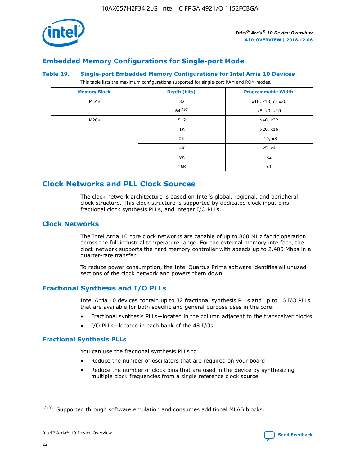

## **Embedded Memory Configurations for Single-port Mode**

#### **Table 19. Single-port Embedded Memory Configurations for Intel Arria 10 Devices**

This table lists the maximum configurations supported for single-port RAM and ROM modes.

| <b>Memory Block</b> | Depth (bits) | <b>Programmable Width</b> |
|---------------------|--------------|---------------------------|
| MLAB                | 32           | x16, x18, or x20          |
|                     | 64(10)       | x8, x9, x10               |
| M20K                | 512          | x40, x32                  |
|                     | 1K           | x20, x16                  |
|                     | 2K           | x10, x8                   |
|                     | 4K           | x5, x4                    |
|                     | 8K           | x2                        |
|                     | 16K          | x1                        |

# **Clock Networks and PLL Clock Sources**

The clock network architecture is based on Intel's global, regional, and peripheral clock structure. This clock structure is supported by dedicated clock input pins, fractional clock synthesis PLLs, and integer I/O PLLs.

## **Clock Networks**

The Intel Arria 10 core clock networks are capable of up to 800 MHz fabric operation across the full industrial temperature range. For the external memory interface, the clock network supports the hard memory controller with speeds up to 2,400 Mbps in a quarter-rate transfer.

To reduce power consumption, the Intel Quartus Prime software identifies all unused sections of the clock network and powers them down.

## **Fractional Synthesis and I/O PLLs**

Intel Arria 10 devices contain up to 32 fractional synthesis PLLs and up to 16 I/O PLLs that are available for both specific and general purpose uses in the core:

- Fractional synthesis PLLs—located in the column adjacent to the transceiver blocks
- I/O PLLs—located in each bank of the 48 I/Os

## **Fractional Synthesis PLLs**

You can use the fractional synthesis PLLs to:

- Reduce the number of oscillators that are required on your board
- Reduce the number of clock pins that are used in the device by synthesizing multiple clock frequencies from a single reference clock source

<sup>(10)</sup> Supported through software emulation and consumes additional MLAB blocks.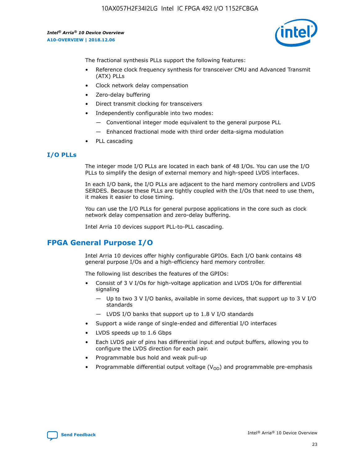

The fractional synthesis PLLs support the following features:

- Reference clock frequency synthesis for transceiver CMU and Advanced Transmit (ATX) PLLs
- Clock network delay compensation
- Zero-delay buffering
- Direct transmit clocking for transceivers
- Independently configurable into two modes:
	- Conventional integer mode equivalent to the general purpose PLL
	- Enhanced fractional mode with third order delta-sigma modulation
- PLL cascading

## **I/O PLLs**

The integer mode I/O PLLs are located in each bank of 48 I/Os. You can use the I/O PLLs to simplify the design of external memory and high-speed LVDS interfaces.

In each I/O bank, the I/O PLLs are adjacent to the hard memory controllers and LVDS SERDES. Because these PLLs are tightly coupled with the I/Os that need to use them, it makes it easier to close timing.

You can use the I/O PLLs for general purpose applications in the core such as clock network delay compensation and zero-delay buffering.

Intel Arria 10 devices support PLL-to-PLL cascading.

# **FPGA General Purpose I/O**

Intel Arria 10 devices offer highly configurable GPIOs. Each I/O bank contains 48 general purpose I/Os and a high-efficiency hard memory controller.

The following list describes the features of the GPIOs:

- Consist of 3 V I/Os for high-voltage application and LVDS I/Os for differential signaling
	- Up to two 3 V I/O banks, available in some devices, that support up to 3 V I/O standards
	- LVDS I/O banks that support up to 1.8 V I/O standards
- Support a wide range of single-ended and differential I/O interfaces
- LVDS speeds up to 1.6 Gbps
- Each LVDS pair of pins has differential input and output buffers, allowing you to configure the LVDS direction for each pair.
- Programmable bus hold and weak pull-up
- Programmable differential output voltage  $(V_{OD})$  and programmable pre-emphasis

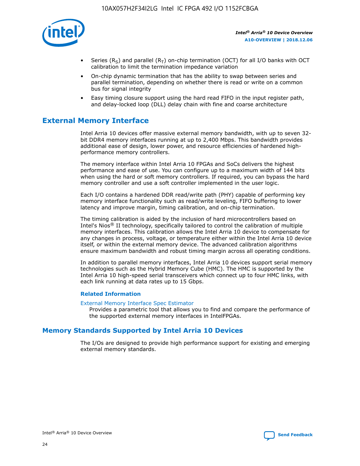

- Series (R<sub>S</sub>) and parallel (R<sub>T</sub>) on-chip termination (OCT) for all I/O banks with OCT calibration to limit the termination impedance variation
- On-chip dynamic termination that has the ability to swap between series and parallel termination, depending on whether there is read or write on a common bus for signal integrity
- Easy timing closure support using the hard read FIFO in the input register path, and delay-locked loop (DLL) delay chain with fine and coarse architecture

# **External Memory Interface**

Intel Arria 10 devices offer massive external memory bandwidth, with up to seven 32 bit DDR4 memory interfaces running at up to 2,400 Mbps. This bandwidth provides additional ease of design, lower power, and resource efficiencies of hardened highperformance memory controllers.

The memory interface within Intel Arria 10 FPGAs and SoCs delivers the highest performance and ease of use. You can configure up to a maximum width of 144 bits when using the hard or soft memory controllers. If required, you can bypass the hard memory controller and use a soft controller implemented in the user logic.

Each I/O contains a hardened DDR read/write path (PHY) capable of performing key memory interface functionality such as read/write leveling, FIFO buffering to lower latency and improve margin, timing calibration, and on-chip termination.

The timing calibration is aided by the inclusion of hard microcontrollers based on Intel's Nios® II technology, specifically tailored to control the calibration of multiple memory interfaces. This calibration allows the Intel Arria 10 device to compensate for any changes in process, voltage, or temperature either within the Intel Arria 10 device itself, or within the external memory device. The advanced calibration algorithms ensure maximum bandwidth and robust timing margin across all operating conditions.

In addition to parallel memory interfaces, Intel Arria 10 devices support serial memory technologies such as the Hybrid Memory Cube (HMC). The HMC is supported by the Intel Arria 10 high-speed serial transceivers which connect up to four HMC links, with each link running at data rates up to 15 Gbps.

#### **Related Information**

#### [External Memory Interface Spec Estimator](http://www.altera.com/technology/memory/estimator/mem-emif-index.html)

Provides a parametric tool that allows you to find and compare the performance of the supported external memory interfaces in IntelFPGAs.

## **Memory Standards Supported by Intel Arria 10 Devices**

The I/Os are designed to provide high performance support for existing and emerging external memory standards.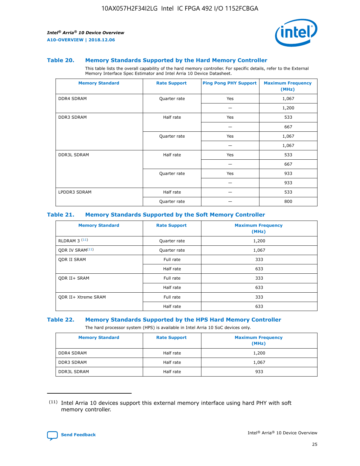

#### **Table 20. Memory Standards Supported by the Hard Memory Controller**

This table lists the overall capability of the hard memory controller. For specific details, refer to the External Memory Interface Spec Estimator and Intel Arria 10 Device Datasheet.

| <b>Memory Standard</b> | <b>Rate Support</b> | <b>Ping Pong PHY Support</b> | <b>Maximum Frequency</b><br>(MHz) |
|------------------------|---------------------|------------------------------|-----------------------------------|
| <b>DDR4 SDRAM</b>      | Quarter rate        | Yes                          | 1,067                             |
|                        |                     |                              | 1,200                             |
| <b>DDR3 SDRAM</b>      | Half rate           | Yes                          | 533                               |
|                        |                     |                              | 667                               |
|                        | Quarter rate        | Yes                          | 1,067                             |
|                        |                     |                              | 1,067                             |
| <b>DDR3L SDRAM</b>     | Half rate           | Yes                          | 533                               |
|                        |                     |                              | 667                               |
|                        | Quarter rate        | Yes                          | 933                               |
|                        |                     |                              | 933                               |
| LPDDR3 SDRAM           | Half rate           |                              | 533                               |
|                        | Quarter rate        |                              | 800                               |

#### **Table 21. Memory Standards Supported by the Soft Memory Controller**

| <b>Memory Standard</b>      | <b>Rate Support</b> | <b>Maximum Frequency</b><br>(MHz) |
|-----------------------------|---------------------|-----------------------------------|
| <b>RLDRAM 3 (11)</b>        | Quarter rate        | 1,200                             |
| ODR IV SRAM <sup>(11)</sup> | Quarter rate        | 1,067                             |
| <b>ODR II SRAM</b>          | Full rate           | 333                               |
|                             | Half rate           | 633                               |
| <b>ODR II+ SRAM</b>         | Full rate           | 333                               |
|                             | Half rate           | 633                               |
| <b>ODR II+ Xtreme SRAM</b>  | Full rate           | 333                               |
|                             | Half rate           | 633                               |

#### **Table 22. Memory Standards Supported by the HPS Hard Memory Controller**

The hard processor system (HPS) is available in Intel Arria 10 SoC devices only.

| <b>Memory Standard</b> | <b>Rate Support</b> | <b>Maximum Frequency</b><br>(MHz) |
|------------------------|---------------------|-----------------------------------|
| <b>DDR4 SDRAM</b>      | Half rate           | 1,200                             |
| <b>DDR3 SDRAM</b>      | Half rate           | 1,067                             |
| <b>DDR3L SDRAM</b>     | Half rate           | 933                               |

<sup>(11)</sup> Intel Arria 10 devices support this external memory interface using hard PHY with soft memory controller.

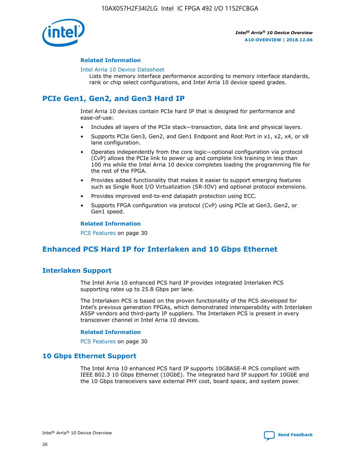

#### **Related Information**

#### [Intel Arria 10 Device Datasheet](https://www.intel.com/content/www/us/en/programmable/documentation/mcn1413182292568.html#mcn1413182153340)

Lists the memory interface performance according to memory interface standards, rank or chip select configurations, and Intel Arria 10 device speed grades.

# **PCIe Gen1, Gen2, and Gen3 Hard IP**

Intel Arria 10 devices contain PCIe hard IP that is designed for performance and ease-of-use:

- Includes all layers of the PCIe stack—transaction, data link and physical layers.
- Supports PCIe Gen3, Gen2, and Gen1 Endpoint and Root Port in x1, x2, x4, or x8 lane configuration.
- Operates independently from the core logic—optional configuration via protocol (CvP) allows the PCIe link to power up and complete link training in less than 100 ms while the Intel Arria 10 device completes loading the programming file for the rest of the FPGA.
- Provides added functionality that makes it easier to support emerging features such as Single Root I/O Virtualization (SR-IOV) and optional protocol extensions.
- Provides improved end-to-end datapath protection using ECC.
- Supports FPGA configuration via protocol (CvP) using PCIe at Gen3, Gen2, or Gen1 speed.

#### **Related Information**

PCS Features on page 30

# **Enhanced PCS Hard IP for Interlaken and 10 Gbps Ethernet**

## **Interlaken Support**

The Intel Arria 10 enhanced PCS hard IP provides integrated Interlaken PCS supporting rates up to 25.8 Gbps per lane.

The Interlaken PCS is based on the proven functionality of the PCS developed for Intel's previous generation FPGAs, which demonstrated interoperability with Interlaken ASSP vendors and third-party IP suppliers. The Interlaken PCS is present in every transceiver channel in Intel Arria 10 devices.

#### **Related Information**

PCS Features on page 30

## **10 Gbps Ethernet Support**

The Intel Arria 10 enhanced PCS hard IP supports 10GBASE-R PCS compliant with IEEE 802.3 10 Gbps Ethernet (10GbE). The integrated hard IP support for 10GbE and the 10 Gbps transceivers save external PHY cost, board space, and system power.

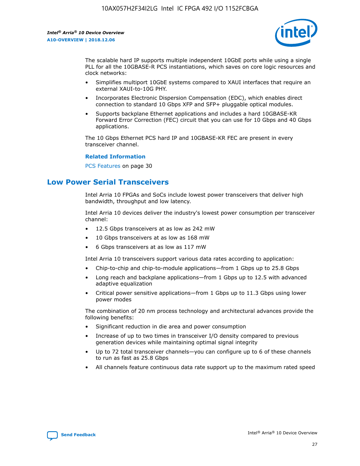

The scalable hard IP supports multiple independent 10GbE ports while using a single PLL for all the 10GBASE-R PCS instantiations, which saves on core logic resources and clock networks:

- Simplifies multiport 10GbE systems compared to XAUI interfaces that require an external XAUI-to-10G PHY.
- Incorporates Electronic Dispersion Compensation (EDC), which enables direct connection to standard 10 Gbps XFP and SFP+ pluggable optical modules.
- Supports backplane Ethernet applications and includes a hard 10GBASE-KR Forward Error Correction (FEC) circuit that you can use for 10 Gbps and 40 Gbps applications.

The 10 Gbps Ethernet PCS hard IP and 10GBASE-KR FEC are present in every transceiver channel.

#### **Related Information**

PCS Features on page 30

# **Low Power Serial Transceivers**

Intel Arria 10 FPGAs and SoCs include lowest power transceivers that deliver high bandwidth, throughput and low latency.

Intel Arria 10 devices deliver the industry's lowest power consumption per transceiver channel:

- 12.5 Gbps transceivers at as low as 242 mW
- 10 Gbps transceivers at as low as 168 mW
- 6 Gbps transceivers at as low as 117 mW

Intel Arria 10 transceivers support various data rates according to application:

- Chip-to-chip and chip-to-module applications—from 1 Gbps up to 25.8 Gbps
- Long reach and backplane applications—from 1 Gbps up to 12.5 with advanced adaptive equalization
- Critical power sensitive applications—from 1 Gbps up to 11.3 Gbps using lower power modes

The combination of 20 nm process technology and architectural advances provide the following benefits:

- Significant reduction in die area and power consumption
- Increase of up to two times in transceiver I/O density compared to previous generation devices while maintaining optimal signal integrity
- Up to 72 total transceiver channels—you can configure up to 6 of these channels to run as fast as 25.8 Gbps
- All channels feature continuous data rate support up to the maximum rated speed

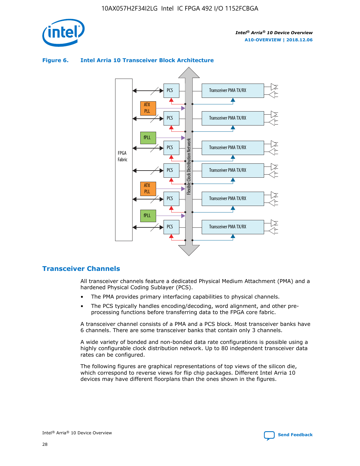



## **Figure 6. Intel Arria 10 Transceiver Block Architecture**

## **Transceiver Channels**

All transceiver channels feature a dedicated Physical Medium Attachment (PMA) and a hardened Physical Coding Sublayer (PCS).

- The PMA provides primary interfacing capabilities to physical channels.
- The PCS typically handles encoding/decoding, word alignment, and other preprocessing functions before transferring data to the FPGA core fabric.

A transceiver channel consists of a PMA and a PCS block. Most transceiver banks have 6 channels. There are some transceiver banks that contain only 3 channels.

A wide variety of bonded and non-bonded data rate configurations is possible using a highly configurable clock distribution network. Up to 80 independent transceiver data rates can be configured.

The following figures are graphical representations of top views of the silicon die, which correspond to reverse views for flip chip packages. Different Intel Arria 10 devices may have different floorplans than the ones shown in the figures.

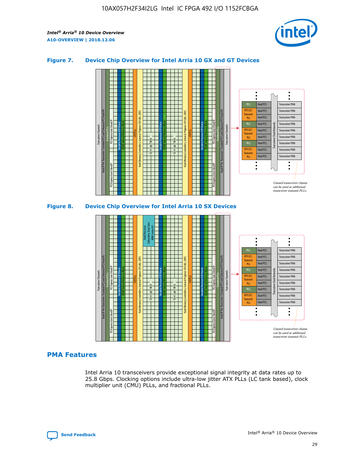

## **Figure 7. Device Chip Overview for Intel Arria 10 GX and GT Devices**





## **PMA Features**

Intel Arria 10 transceivers provide exceptional signal integrity at data rates up to 25.8 Gbps. Clocking options include ultra-low jitter ATX PLLs (LC tank based), clock multiplier unit (CMU) PLLs, and fractional PLLs.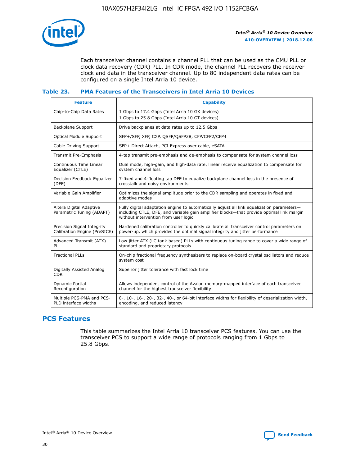

Each transceiver channel contains a channel PLL that can be used as the CMU PLL or clock data recovery (CDR) PLL. In CDR mode, the channel PLL recovers the receiver clock and data in the transceiver channel. Up to 80 independent data rates can be configured on a single Intel Arria 10 device.

## **Table 23. PMA Features of the Transceivers in Intel Arria 10 Devices**

| <b>Feature</b>                                             | <b>Capability</b>                                                                                                                                                                                                             |
|------------------------------------------------------------|-------------------------------------------------------------------------------------------------------------------------------------------------------------------------------------------------------------------------------|
| Chip-to-Chip Data Rates                                    | 1 Gbps to 17.4 Gbps (Intel Arria 10 GX devices)<br>1 Gbps to 25.8 Gbps (Intel Arria 10 GT devices)                                                                                                                            |
| <b>Backplane Support</b>                                   | Drive backplanes at data rates up to 12.5 Gbps                                                                                                                                                                                |
| <b>Optical Module Support</b>                              | SFP+/SFP, XFP, CXP, QSFP/QSFP28, CFP/CFP2/CFP4                                                                                                                                                                                |
| Cable Driving Support                                      | SFP+ Direct Attach, PCI Express over cable, eSATA                                                                                                                                                                             |
| Transmit Pre-Emphasis                                      | 4-tap transmit pre-emphasis and de-emphasis to compensate for system channel loss                                                                                                                                             |
| Continuous Time Linear<br>Equalizer (CTLE)                 | Dual mode, high-gain, and high-data rate, linear receive equalization to compensate for<br>system channel loss                                                                                                                |
| Decision Feedback Equalizer<br>(DFE)                       | 7-fixed and 4-floating tap DFE to equalize backplane channel loss in the presence of<br>crosstalk and noisy environments                                                                                                      |
| Variable Gain Amplifier                                    | Optimizes the signal amplitude prior to the CDR sampling and operates in fixed and<br>adaptive modes                                                                                                                          |
| Altera Digital Adaptive<br>Parametric Tuning (ADAPT)       | Fully digital adaptation engine to automatically adjust all link equalization parameters-<br>including CTLE, DFE, and variable gain amplifier blocks—that provide optimal link margin<br>without intervention from user logic |
| Precision Signal Integrity<br>Calibration Engine (PreSICE) | Hardened calibration controller to quickly calibrate all transceiver control parameters on<br>power-up, which provides the optimal signal integrity and jitter performance                                                    |
| Advanced Transmit (ATX)<br><b>PLL</b>                      | Low jitter ATX (LC tank based) PLLs with continuous tuning range to cover a wide range of<br>standard and proprietary protocols                                                                                               |
| <b>Fractional PLLs</b>                                     | On-chip fractional frequency synthesizers to replace on-board crystal oscillators and reduce<br>system cost                                                                                                                   |
| Digitally Assisted Analog<br><b>CDR</b>                    | Superior jitter tolerance with fast lock time                                                                                                                                                                                 |
| <b>Dynamic Partial</b><br>Reconfiguration                  | Allows independent control of the Avalon memory-mapped interface of each transceiver<br>channel for the highest transceiver flexibility                                                                                       |
| Multiple PCS-PMA and PCS-<br>PLD interface widths          | 8-, 10-, 16-, 20-, 32-, 40-, or 64-bit interface widths for flexibility of deserialization width,<br>encoding, and reduced latency                                                                                            |

## **PCS Features**

This table summarizes the Intel Arria 10 transceiver PCS features. You can use the transceiver PCS to support a wide range of protocols ranging from 1 Gbps to 25.8 Gbps.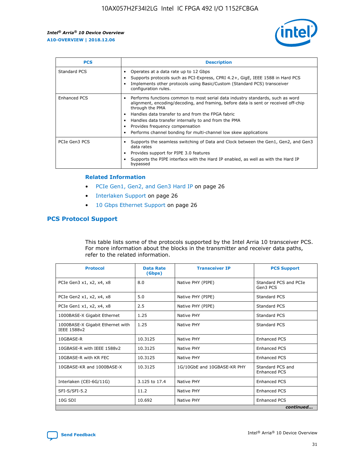

| <b>PCS</b>          | <b>Description</b>                                                                                                                                                                                                                                                                                                                                                                                             |
|---------------------|----------------------------------------------------------------------------------------------------------------------------------------------------------------------------------------------------------------------------------------------------------------------------------------------------------------------------------------------------------------------------------------------------------------|
| Standard PCS        | Operates at a data rate up to 12 Gbps<br>Supports protocols such as PCI-Express, CPRI 4.2+, GigE, IEEE 1588 in Hard PCS<br>Implements other protocols using Basic/Custom (Standard PCS) transceiver<br>configuration rules.                                                                                                                                                                                    |
| <b>Enhanced PCS</b> | Performs functions common to most serial data industry standards, such as word<br>alignment, encoding/decoding, and framing, before data is sent or received off-chip<br>through the PMA<br>• Handles data transfer to and from the FPGA fabric<br>Handles data transfer internally to and from the PMA<br>Provides frequency compensation<br>Performs channel bonding for multi-channel low skew applications |
| PCIe Gen3 PCS       | Supports the seamless switching of Data and Clock between the Gen1, Gen2, and Gen3<br>data rates<br>Provides support for PIPE 3.0 features<br>Supports the PIPE interface with the Hard IP enabled, as well as with the Hard IP<br>bypassed                                                                                                                                                                    |

#### **Related Information**

- PCIe Gen1, Gen2, and Gen3 Hard IP on page 26
- Interlaken Support on page 26
- 10 Gbps Ethernet Support on page 26

## **PCS Protocol Support**

This table lists some of the protocols supported by the Intel Arria 10 transceiver PCS. For more information about the blocks in the transmitter and receiver data paths, refer to the related information.

| <b>Protocol</b>                                 | <b>Data Rate</b><br>(Gbps) | <b>Transceiver IP</b>       | <b>PCS Support</b>                      |
|-------------------------------------------------|----------------------------|-----------------------------|-----------------------------------------|
| PCIe Gen3 x1, x2, x4, x8                        | 8.0                        | Native PHY (PIPE)           | Standard PCS and PCIe<br>Gen3 PCS       |
| PCIe Gen2 x1, x2, x4, x8                        | 5.0                        | Native PHY (PIPE)           | <b>Standard PCS</b>                     |
| PCIe Gen1 x1, x2, x4, x8                        | 2.5                        | Native PHY (PIPE)           | Standard PCS                            |
| 1000BASE-X Gigabit Ethernet                     | 1.25                       | Native PHY                  | <b>Standard PCS</b>                     |
| 1000BASE-X Gigabit Ethernet with<br>IEEE 1588v2 | 1.25                       | Native PHY                  | Standard PCS                            |
| 10GBASE-R                                       | 10.3125                    | Native PHY                  | <b>Enhanced PCS</b>                     |
| 10GBASE-R with IEEE 1588v2                      | 10.3125                    | Native PHY                  | <b>Enhanced PCS</b>                     |
| 10GBASE-R with KR FEC                           | 10.3125                    | Native PHY                  | <b>Enhanced PCS</b>                     |
| 10GBASE-KR and 1000BASE-X                       | 10.3125                    | 1G/10GbE and 10GBASE-KR PHY | Standard PCS and<br><b>Enhanced PCS</b> |
| Interlaken (CEI-6G/11G)                         | 3.125 to 17.4              | Native PHY                  | <b>Enhanced PCS</b>                     |
| SFI-S/SFI-5.2                                   | 11.2                       | Native PHY                  | <b>Enhanced PCS</b>                     |
| $10G$ SDI                                       | 10.692                     | Native PHY                  | <b>Enhanced PCS</b>                     |
|                                                 |                            |                             | continued                               |

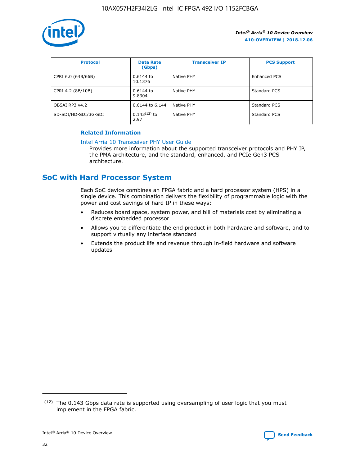

| <b>Protocol</b>      | <b>Data Rate</b><br>(Gbps) | <b>Transceiver IP</b> | <b>PCS Support</b>  |
|----------------------|----------------------------|-----------------------|---------------------|
| CPRI 6.0 (64B/66B)   | 0.6144 to<br>10.1376       | Native PHY            | <b>Enhanced PCS</b> |
| CPRI 4.2 (8B/10B)    | 0.6144 to<br>9.8304        | Native PHY            | Standard PCS        |
| OBSAI RP3 v4.2       | 0.6144 to 6.144            | Native PHY            | Standard PCS        |
| SD-SDI/HD-SDI/3G-SDI | $0.143(12)$ to<br>2.97     | Native PHY            | Standard PCS        |

## **Related Information**

#### [Intel Arria 10 Transceiver PHY User Guide](https://www.intel.com/content/www/us/en/programmable/documentation/nik1398707230472.html#nik1398707091164)

Provides more information about the supported transceiver protocols and PHY IP, the PMA architecture, and the standard, enhanced, and PCIe Gen3 PCS architecture.

# **SoC with Hard Processor System**

Each SoC device combines an FPGA fabric and a hard processor system (HPS) in a single device. This combination delivers the flexibility of programmable logic with the power and cost savings of hard IP in these ways:

- Reduces board space, system power, and bill of materials cost by eliminating a discrete embedded processor
- Allows you to differentiate the end product in both hardware and software, and to support virtually any interface standard
- Extends the product life and revenue through in-field hardware and software updates

<sup>(12)</sup> The 0.143 Gbps data rate is supported using oversampling of user logic that you must implement in the FPGA fabric.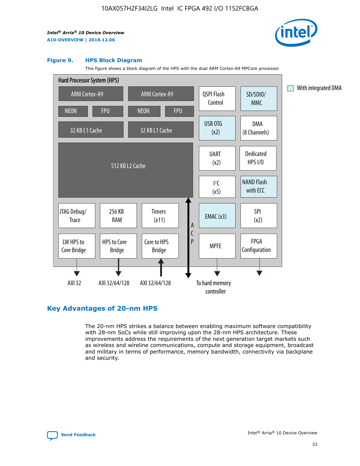

#### **Figure 9. HPS Block Diagram**

This figure shows a block diagram of the HPS with the dual ARM Cortex-A9 MPCore processor.



## **Key Advantages of 20-nm HPS**

The 20-nm HPS strikes a balance between enabling maximum software compatibility with 28-nm SoCs while still improving upon the 28-nm HPS architecture. These improvements address the requirements of the next generation target markets such as wireless and wireline communications, compute and storage equipment, broadcast and military in terms of performance, memory bandwidth, connectivity via backplane and security.

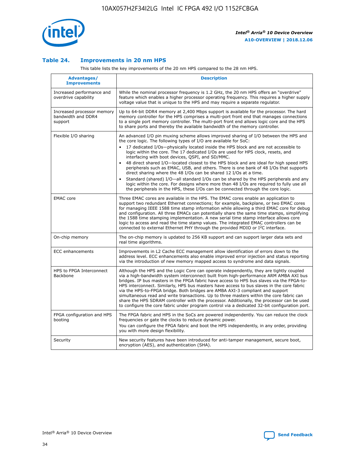

## **Table 24. Improvements in 20 nm HPS**

This table lists the key improvements of the 20 nm HPS compared to the 28 nm HPS.

| Advantages/<br><b>Improvements</b>                          | <b>Description</b>                                                                                                                                                                                                                                                                                                                                                                                                                                                                                                                                                                                                                                                                                                                                                                                                                                                                                                      |
|-------------------------------------------------------------|-------------------------------------------------------------------------------------------------------------------------------------------------------------------------------------------------------------------------------------------------------------------------------------------------------------------------------------------------------------------------------------------------------------------------------------------------------------------------------------------------------------------------------------------------------------------------------------------------------------------------------------------------------------------------------------------------------------------------------------------------------------------------------------------------------------------------------------------------------------------------------------------------------------------------|
| Increased performance and<br>overdrive capability           | While the nominal processor frequency is 1.2 GHz, the 20 nm HPS offers an "overdrive"<br>feature which enables a higher processor operating frequency. This requires a higher supply<br>voltage value that is unique to the HPS and may require a separate regulator.                                                                                                                                                                                                                                                                                                                                                                                                                                                                                                                                                                                                                                                   |
| Increased processor memory<br>bandwidth and DDR4<br>support | Up to 64-bit DDR4 memory at 2,400 Mbps support is available for the processor. The hard<br>memory controller for the HPS comprises a multi-port front end that manages connections<br>to a single port memory controller. The multi-port front end allows logic core and the HPS<br>to share ports and thereby the available bandwidth of the memory controller.                                                                                                                                                                                                                                                                                                                                                                                                                                                                                                                                                        |
| Flexible I/O sharing                                        | An advanced I/O pin muxing scheme allows improved sharing of I/O between the HPS and<br>the core logic. The following types of I/O are available for SoC:<br>17 dedicated I/Os-physically located inside the HPS block and are not accessible to<br>logic within the core. The 17 dedicated I/Os are used for HPS clock, resets, and<br>interfacing with boot devices, QSPI, and SD/MMC.<br>48 direct shared I/O-located closest to the HPS block and are ideal for high speed HPS<br>peripherals such as EMAC, USB, and others. There is one bank of 48 I/Os that supports<br>direct sharing where the 48 I/Os can be shared 12 I/Os at a time.<br>Standard (shared) I/O-all standard I/Os can be shared by the HPS peripherals and any<br>logic within the core. For designs where more than 48 I/Os are reguired to fully use all<br>the peripherals in the HPS, these I/Os can be connected through the core logic. |
| <b>EMAC</b> core                                            | Three EMAC cores are available in the HPS. The EMAC cores enable an application to<br>support two redundant Ethernet connections; for example, backplane, or two EMAC cores<br>for managing IEEE 1588 time stamp information while allowing a third EMAC core for debug<br>and configuration. All three EMACs can potentially share the same time stamps, simplifying<br>the 1588 time stamping implementation. A new serial time stamp interface allows core<br>logic to access and read the time stamp values. The integrated EMAC controllers can be<br>connected to external Ethernet PHY through the provided MDIO or I <sup>2</sup> C interface.                                                                                                                                                                                                                                                                  |
| On-chip memory                                              | The on-chip memory is updated to 256 KB support and can support larger data sets and<br>real time algorithms.                                                                                                                                                                                                                                                                                                                                                                                                                                                                                                                                                                                                                                                                                                                                                                                                           |
| <b>ECC</b> enhancements                                     | Improvements in L2 Cache ECC management allow identification of errors down to the<br>address level. ECC enhancements also enable improved error injection and status reporting<br>via the introduction of new memory mapped access to syndrome and data signals.                                                                                                                                                                                                                                                                                                                                                                                                                                                                                                                                                                                                                                                       |
| HPS to FPGA Interconnect<br>Backbone                        | Although the HPS and the Logic Core can operate independently, they are tightly coupled<br>via a high-bandwidth system interconnect built from high-performance ARM AMBA AXI bus<br>bridges. IP bus masters in the FPGA fabric have access to HPS bus slaves via the FPGA-to-<br>HPS interconnect. Similarly, HPS bus masters have access to bus slaves in the core fabric<br>via the HPS-to-FPGA bridge. Both bridges are AMBA AXI-3 compliant and support<br>simultaneous read and write transactions. Up to three masters within the core fabric can<br>share the HPS SDRAM controller with the processor. Additionally, the processor can be used<br>to configure the core fabric under program control via a dedicated 32-bit configuration port.                                                                                                                                                                  |
| FPGA configuration and HPS<br>booting                       | The FPGA fabric and HPS in the SoCs are powered independently. You can reduce the clock<br>frequencies or gate the clocks to reduce dynamic power.<br>You can configure the FPGA fabric and boot the HPS independently, in any order, providing<br>you with more design flexibility.                                                                                                                                                                                                                                                                                                                                                                                                                                                                                                                                                                                                                                    |
| Security                                                    | New security features have been introduced for anti-tamper management, secure boot,<br>encryption (AES), and authentication (SHA).                                                                                                                                                                                                                                                                                                                                                                                                                                                                                                                                                                                                                                                                                                                                                                                      |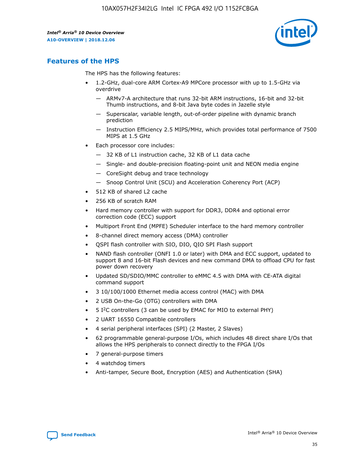

## **Features of the HPS**

The HPS has the following features:

- 1.2-GHz, dual-core ARM Cortex-A9 MPCore processor with up to 1.5-GHz via overdrive
	- ARMv7-A architecture that runs 32-bit ARM instructions, 16-bit and 32-bit Thumb instructions, and 8-bit Java byte codes in Jazelle style
	- Superscalar, variable length, out-of-order pipeline with dynamic branch prediction
	- Instruction Efficiency 2.5 MIPS/MHz, which provides total performance of 7500 MIPS at 1.5 GHz
- Each processor core includes:
	- 32 KB of L1 instruction cache, 32 KB of L1 data cache
	- Single- and double-precision floating-point unit and NEON media engine
	- CoreSight debug and trace technology
	- Snoop Control Unit (SCU) and Acceleration Coherency Port (ACP)
- 512 KB of shared L2 cache
- 256 KB of scratch RAM
- Hard memory controller with support for DDR3, DDR4 and optional error correction code (ECC) support
- Multiport Front End (MPFE) Scheduler interface to the hard memory controller
- 8-channel direct memory access (DMA) controller
- QSPI flash controller with SIO, DIO, QIO SPI Flash support
- NAND flash controller (ONFI 1.0 or later) with DMA and ECC support, updated to support 8 and 16-bit Flash devices and new command DMA to offload CPU for fast power down recovery
- Updated SD/SDIO/MMC controller to eMMC 4.5 with DMA with CE-ATA digital command support
- 3 10/100/1000 Ethernet media access control (MAC) with DMA
- 2 USB On-the-Go (OTG) controllers with DMA
- $\bullet$  5 I<sup>2</sup>C controllers (3 can be used by EMAC for MIO to external PHY)
- 2 UART 16550 Compatible controllers
- 4 serial peripheral interfaces (SPI) (2 Master, 2 Slaves)
- 62 programmable general-purpose I/Os, which includes 48 direct share I/Os that allows the HPS peripherals to connect directly to the FPGA I/Os
- 7 general-purpose timers
- 4 watchdog timers
- Anti-tamper, Secure Boot, Encryption (AES) and Authentication (SHA)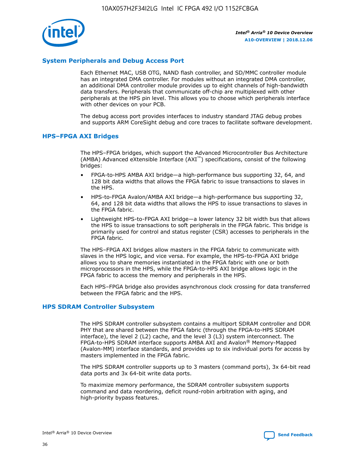

## **System Peripherals and Debug Access Port**

Each Ethernet MAC, USB OTG, NAND flash controller, and SD/MMC controller module has an integrated DMA controller. For modules without an integrated DMA controller, an additional DMA controller module provides up to eight channels of high-bandwidth data transfers. Peripherals that communicate off-chip are multiplexed with other peripherals at the HPS pin level. This allows you to choose which peripherals interface with other devices on your PCB.

The debug access port provides interfaces to industry standard JTAG debug probes and supports ARM CoreSight debug and core traces to facilitate software development.

## **HPS–FPGA AXI Bridges**

The HPS–FPGA bridges, which support the Advanced Microcontroller Bus Architecture (AMBA) Advanced eXtensible Interface (AXI™) specifications, consist of the following bridges:

- FPGA-to-HPS AMBA AXI bridge—a high-performance bus supporting 32, 64, and 128 bit data widths that allows the FPGA fabric to issue transactions to slaves in the HPS.
- HPS-to-FPGA Avalon/AMBA AXI bridge—a high-performance bus supporting 32, 64, and 128 bit data widths that allows the HPS to issue transactions to slaves in the FPGA fabric.
- Lightweight HPS-to-FPGA AXI bridge—a lower latency 32 bit width bus that allows the HPS to issue transactions to soft peripherals in the FPGA fabric. This bridge is primarily used for control and status register (CSR) accesses to peripherals in the FPGA fabric.

The HPS–FPGA AXI bridges allow masters in the FPGA fabric to communicate with slaves in the HPS logic, and vice versa. For example, the HPS-to-FPGA AXI bridge allows you to share memories instantiated in the FPGA fabric with one or both microprocessors in the HPS, while the FPGA-to-HPS AXI bridge allows logic in the FPGA fabric to access the memory and peripherals in the HPS.

Each HPS–FPGA bridge also provides asynchronous clock crossing for data transferred between the FPGA fabric and the HPS.

#### **HPS SDRAM Controller Subsystem**

The HPS SDRAM controller subsystem contains a multiport SDRAM controller and DDR PHY that are shared between the FPGA fabric (through the FPGA-to-HPS SDRAM interface), the level 2 (L2) cache, and the level 3 (L3) system interconnect. The FPGA-to-HPS SDRAM interface supports AMBA AXI and Avalon® Memory-Mapped (Avalon-MM) interface standards, and provides up to six individual ports for access by masters implemented in the FPGA fabric.

The HPS SDRAM controller supports up to 3 masters (command ports), 3x 64-bit read data ports and 3x 64-bit write data ports.

To maximize memory performance, the SDRAM controller subsystem supports command and data reordering, deficit round-robin arbitration with aging, and high-priority bypass features.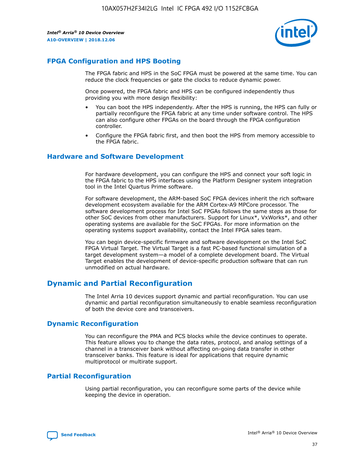

## **FPGA Configuration and HPS Booting**

The FPGA fabric and HPS in the SoC FPGA must be powered at the same time. You can reduce the clock frequencies or gate the clocks to reduce dynamic power.

Once powered, the FPGA fabric and HPS can be configured independently thus providing you with more design flexibility:

- You can boot the HPS independently. After the HPS is running, the HPS can fully or partially reconfigure the FPGA fabric at any time under software control. The HPS can also configure other FPGAs on the board through the FPGA configuration controller.
- Configure the FPGA fabric first, and then boot the HPS from memory accessible to the FPGA fabric.

## **Hardware and Software Development**

For hardware development, you can configure the HPS and connect your soft logic in the FPGA fabric to the HPS interfaces using the Platform Designer system integration tool in the Intel Quartus Prime software.

For software development, the ARM-based SoC FPGA devices inherit the rich software development ecosystem available for the ARM Cortex-A9 MPCore processor. The software development process for Intel SoC FPGAs follows the same steps as those for other SoC devices from other manufacturers. Support for Linux\*, VxWorks\*, and other operating systems are available for the SoC FPGAs. For more information on the operating systems support availability, contact the Intel FPGA sales team.

You can begin device-specific firmware and software development on the Intel SoC FPGA Virtual Target. The Virtual Target is a fast PC-based functional simulation of a target development system—a model of a complete development board. The Virtual Target enables the development of device-specific production software that can run unmodified on actual hardware.

## **Dynamic and Partial Reconfiguration**

The Intel Arria 10 devices support dynamic and partial reconfiguration. You can use dynamic and partial reconfiguration simultaneously to enable seamless reconfiguration of both the device core and transceivers.

## **Dynamic Reconfiguration**

You can reconfigure the PMA and PCS blocks while the device continues to operate. This feature allows you to change the data rates, protocol, and analog settings of a channel in a transceiver bank without affecting on-going data transfer in other transceiver banks. This feature is ideal for applications that require dynamic multiprotocol or multirate support.

## **Partial Reconfiguration**

Using partial reconfiguration, you can reconfigure some parts of the device while keeping the device in operation.

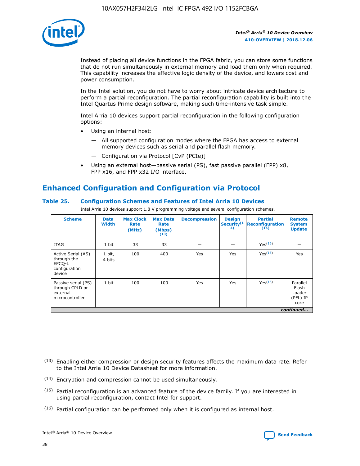

Instead of placing all device functions in the FPGA fabric, you can store some functions that do not run simultaneously in external memory and load them only when required. This capability increases the effective logic density of the device, and lowers cost and power consumption.

In the Intel solution, you do not have to worry about intricate device architecture to perform a partial reconfiguration. The partial reconfiguration capability is built into the Intel Quartus Prime design software, making such time-intensive task simple.

Intel Arria 10 devices support partial reconfiguration in the following configuration options:

- Using an internal host:
	- All supported configuration modes where the FPGA has access to external memory devices such as serial and parallel flash memory.
	- Configuration via Protocol [CvP (PCIe)]
- Using an external host—passive serial (PS), fast passive parallel (FPP) x8, FPP x16, and FPP x32 I/O interface.

# **Enhanced Configuration and Configuration via Protocol**

## **Table 25. Configuration Schemes and Features of Intel Arria 10 Devices**

Intel Arria 10 devices support 1.8 V programming voltage and several configuration schemes.

| <b>Scheme</b>                                                          | <b>Data</b><br><b>Width</b> | <b>Max Clock</b><br>Rate<br>(MHz) | <b>Max Data</b><br>Rate<br>(Mbps)<br>(13) | <b>Decompression</b> | <b>Design</b><br>Security <sup>(1</sup><br>4) | <b>Partial</b><br><b>Reconfiguration</b><br>(15) | <b>Remote</b><br><b>System</b><br><b>Update</b> |
|------------------------------------------------------------------------|-----------------------------|-----------------------------------|-------------------------------------------|----------------------|-----------------------------------------------|--------------------------------------------------|-------------------------------------------------|
| <b>JTAG</b>                                                            | 1 bit                       | 33                                | 33                                        |                      |                                               | Yes(16)                                          |                                                 |
| Active Serial (AS)<br>through the<br>EPCO-L<br>configuration<br>device | 1 bit,<br>4 bits            | 100                               | 400                                       | Yes                  | Yes                                           | $Y_{PS}(16)$                                     | Yes                                             |
| Passive serial (PS)<br>through CPLD or<br>external<br>microcontroller  | 1 bit                       | 100                               | 100                                       | Yes                  | Yes                                           | Yes(16)                                          | Parallel<br>Flash<br>Loader<br>(PFL) IP<br>core |
|                                                                        |                             |                                   |                                           |                      |                                               |                                                  | continued                                       |

<sup>(13)</sup> Enabling either compression or design security features affects the maximum data rate. Refer to the Intel Arria 10 Device Datasheet for more information.

<sup>(14)</sup> Encryption and compression cannot be used simultaneously.

 $<sup>(15)</sup>$  Partial reconfiguration is an advanced feature of the device family. If you are interested in</sup> using partial reconfiguration, contact Intel for support.

 $(16)$  Partial configuration can be performed only when it is configured as internal host.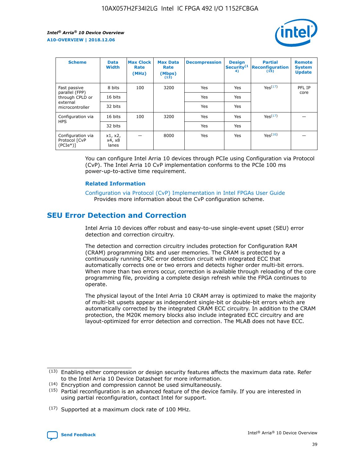

| <b>Scheme</b>                                   | <b>Data</b><br><b>Width</b> | <b>Max Clock</b><br>Rate<br>(MHz) | <b>Max Data</b><br>Rate<br>(Mbps)<br>(13) | <b>Decompression</b> | <b>Design</b><br>Security <sup>(1</sup><br>4) | <b>Partial</b><br><b>Reconfiguration</b><br>(15) | <b>Remote</b><br><b>System</b><br><b>Update</b> |
|-------------------------------------------------|-----------------------------|-----------------------------------|-------------------------------------------|----------------------|-----------------------------------------------|--------------------------------------------------|-------------------------------------------------|
| Fast passive                                    | 8 bits                      | 100                               | 3200                                      | Yes                  | Yes                                           | Yes <sup>(17)</sup>                              | PFL IP                                          |
| parallel (FPP)<br>through CPLD or               | 16 bits                     |                                   |                                           | Yes                  | Yes                                           |                                                  | core                                            |
| external<br>microcontroller                     | 32 bits                     |                                   |                                           | Yes                  | Yes                                           |                                                  |                                                 |
| Configuration via                               | 16 bits                     | 100                               | 3200                                      | Yes                  | Yes                                           | Yes <sup>(17)</sup>                              |                                                 |
| <b>HPS</b>                                      | 32 bits                     |                                   |                                           | Yes                  | Yes                                           |                                                  |                                                 |
| Configuration via<br>Protocol [CvP<br>$(PCIe*)$ | x1, x2,<br>x4, x8<br>lanes  |                                   | 8000                                      | Yes                  | Yes                                           | Yes <sup>(16)</sup>                              |                                                 |

You can configure Intel Arria 10 devices through PCIe using Configuration via Protocol (CvP). The Intel Arria 10 CvP implementation conforms to the PCIe 100 ms power-up-to-active time requirement.

#### **Related Information**

[Configuration via Protocol \(CvP\) Implementation in Intel FPGAs User Guide](https://www.intel.com/content/www/us/en/programmable/documentation/dsu1441819344145.html#dsu1442269728522) Provides more information about the CvP configuration scheme.

# **SEU Error Detection and Correction**

Intel Arria 10 devices offer robust and easy-to-use single-event upset (SEU) error detection and correction circuitry.

The detection and correction circuitry includes protection for Configuration RAM (CRAM) programming bits and user memories. The CRAM is protected by a continuously running CRC error detection circuit with integrated ECC that automatically corrects one or two errors and detects higher order multi-bit errors. When more than two errors occur, correction is available through reloading of the core programming file, providing a complete design refresh while the FPGA continues to operate.

The physical layout of the Intel Arria 10 CRAM array is optimized to make the majority of multi-bit upsets appear as independent single-bit or double-bit errors which are automatically corrected by the integrated CRAM ECC circuitry. In addition to the CRAM protection, the M20K memory blocks also include integrated ECC circuitry and are layout-optimized for error detection and correction. The MLAB does not have ECC.

(14) Encryption and compression cannot be used simultaneously.

<sup>(17)</sup> Supported at a maximum clock rate of 100 MHz.



 $(13)$  Enabling either compression or design security features affects the maximum data rate. Refer to the Intel Arria 10 Device Datasheet for more information.

 $(15)$  Partial reconfiguration is an advanced feature of the device family. If you are interested in using partial reconfiguration, contact Intel for support.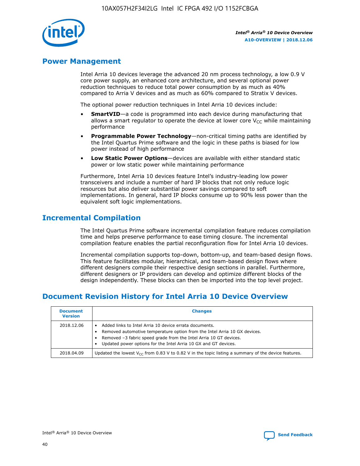

## **Power Management**

Intel Arria 10 devices leverage the advanced 20 nm process technology, a low 0.9 V core power supply, an enhanced core architecture, and several optional power reduction techniques to reduce total power consumption by as much as 40% compared to Arria V devices and as much as 60% compared to Stratix V devices.

The optional power reduction techniques in Intel Arria 10 devices include:

- **SmartVID**—a code is programmed into each device during manufacturing that allows a smart regulator to operate the device at lower core  $V_{CC}$  while maintaining performance
- **Programmable Power Technology**—non-critical timing paths are identified by the Intel Quartus Prime software and the logic in these paths is biased for low power instead of high performance
- **Low Static Power Options**—devices are available with either standard static power or low static power while maintaining performance

Furthermore, Intel Arria 10 devices feature Intel's industry-leading low power transceivers and include a number of hard IP blocks that not only reduce logic resources but also deliver substantial power savings compared to soft implementations. In general, hard IP blocks consume up to 90% less power than the equivalent soft logic implementations.

# **Incremental Compilation**

The Intel Quartus Prime software incremental compilation feature reduces compilation time and helps preserve performance to ease timing closure. The incremental compilation feature enables the partial reconfiguration flow for Intel Arria 10 devices.

Incremental compilation supports top-down, bottom-up, and team-based design flows. This feature facilitates modular, hierarchical, and team-based design flows where different designers compile their respective design sections in parallel. Furthermore, different designers or IP providers can develop and optimize different blocks of the design independently. These blocks can then be imported into the top level project.

# **Document Revision History for Intel Arria 10 Device Overview**

| <b>Document</b><br><b>Version</b> | <b>Changes</b>                                                                                                                                                                                                                                                              |
|-----------------------------------|-----------------------------------------------------------------------------------------------------------------------------------------------------------------------------------------------------------------------------------------------------------------------------|
| 2018.12.06                        | Added links to Intel Arria 10 device errata documents.<br>Removed automotive temperature option from the Intel Arria 10 GX devices.<br>Removed -3 fabric speed grade from the Intel Arria 10 GT devices.<br>Updated power options for the Intel Arria 10 GX and GT devices. |
| 2018.04.09                        | Updated the lowest $V_{CC}$ from 0.83 V to 0.82 V in the topic listing a summary of the device features.                                                                                                                                                                    |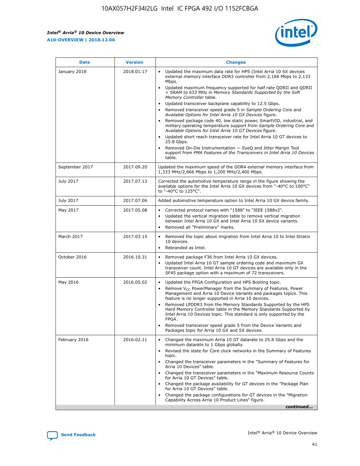*Intel® Arria® 10 Device Overview* **A10-OVERVIEW | 2018.12.06**



| <b>Date</b>    | <b>Version</b> | <b>Changes</b>                                                                                                                                                                                                                                                                                                                                                                                                                                                                                                                                                                                                                                                                                                                                                                                                                                                                                                                                                            |
|----------------|----------------|---------------------------------------------------------------------------------------------------------------------------------------------------------------------------------------------------------------------------------------------------------------------------------------------------------------------------------------------------------------------------------------------------------------------------------------------------------------------------------------------------------------------------------------------------------------------------------------------------------------------------------------------------------------------------------------------------------------------------------------------------------------------------------------------------------------------------------------------------------------------------------------------------------------------------------------------------------------------------|
| January 2018   | 2018.01.17     | Updated the maximum data rate for HPS (Intel Arria 10 SX devices<br>external memory interface DDR3 controller from 2,166 Mbps to 2,133<br>Mbps.<br>Updated maximum frequency supported for half rate QDRII and QDRII<br>+ SRAM to 633 MHz in Memory Standards Supported by the Soft<br>Memory Controller table.<br>Updated transceiver backplane capability to 12.5 Gbps.<br>$\bullet$<br>Removed transceiver speed grade 5 in Sample Ordering Core and<br>Available Options for Intel Arria 10 GX Devices figure.<br>Removed package code 40, low static power, SmartVID, industrial, and<br>military operating temperature support from Sample Ordering Core and<br>Available Options for Intel Arria 10 GT Devices figure.<br>Updated short reach transceiver rate for Intel Arria 10 GT devices to<br>25.8 Gbps.<br>Removed On-Die Instrumentation - EyeQ and Jitter Margin Tool<br>support from PMA Features of the Transceivers in Intel Arria 10 Devices<br>table. |
| September 2017 | 2017.09.20     | Updated the maximum speed of the DDR4 external memory interface from<br>1,333 MHz/2,666 Mbps to 1,200 MHz/2,400 Mbps.                                                                                                                                                                                                                                                                                                                                                                                                                                                                                                                                                                                                                                                                                                                                                                                                                                                     |
| July 2017      | 2017.07.13     | Corrected the automotive temperature range in the figure showing the<br>available options for the Intel Arria 10 GX devices from "-40°C to 100°C"<br>to "-40°C to 125°C".                                                                                                                                                                                                                                                                                                                                                                                                                                                                                                                                                                                                                                                                                                                                                                                                 |
| July 2017      | 2017.07.06     | Added automotive temperature option to Intel Arria 10 GX device family.                                                                                                                                                                                                                                                                                                                                                                                                                                                                                                                                                                                                                                                                                                                                                                                                                                                                                                   |
| May 2017       | 2017.05.08     | Corrected protocol names with "1588" to "IEEE 1588v2".<br>$\bullet$<br>Updated the vertical migration table to remove vertical migration<br>$\bullet$<br>between Intel Arria 10 GX and Intel Arria 10 SX device variants.<br>Removed all "Preliminary" marks.<br>$\bullet$                                                                                                                                                                                                                                                                                                                                                                                                                                                                                                                                                                                                                                                                                                |
| March 2017     | 2017.03.15     | Removed the topic about migration from Intel Arria 10 to Intel Stratix<br>10 devices.<br>Rebranded as Intel.<br>$\bullet$                                                                                                                                                                                                                                                                                                                                                                                                                                                                                                                                                                                                                                                                                                                                                                                                                                                 |
| October 2016   | 2016.10.31     | Removed package F36 from Intel Arria 10 GX devices.<br>Updated Intel Arria 10 GT sample ordering code and maximum GX<br>$\bullet$<br>transceiver count. Intel Arria 10 GT devices are available only in the<br>SF45 package option with a maximum of 72 transceivers.                                                                                                                                                                                                                                                                                                                                                                                                                                                                                                                                                                                                                                                                                                     |
| May 2016       | 2016.05.02     | Updated the FPGA Configuration and HPS Booting topic.<br>$\bullet$<br>Remove V <sub>CC</sub> PowerManager from the Summary of Features, Power<br>Management and Arria 10 Device Variants and packages topics. This<br>feature is no longer supported in Arria 10 devices.<br>Removed LPDDR3 from the Memory Standards Supported by the HPS<br>Hard Memory Controller table in the Memory Standards Supported by<br>Intel Arria 10 Devices topic. This standard is only supported by the<br>FPGA.<br>Removed transceiver speed grade 5 from the Device Variants and<br>Packages topic for Arria 10 GX and SX devices.                                                                                                                                                                                                                                                                                                                                                      |
| February 2016  | 2016.02.11     | Changed the maximum Arria 10 GT datarate to 25.8 Gbps and the<br>minimum datarate to 1 Gbps globally.<br>Revised the state for Core clock networks in the Summary of Features<br>$\bullet$<br>topic.<br>Changed the transceiver parameters in the "Summary of Features for<br>$\bullet$<br>Arria 10 Devices" table.<br>• Changed the transceiver parameters in the "Maximum Resource Counts<br>for Arria 10 GT Devices" table.<br>Changed the package availability for GT devices in the "Package Plan<br>for Arria 10 GT Devices" table.<br>Changed the package configurations for GT devices in the "Migration"<br>Capability Across Arria 10 Product Lines" figure.<br>continued                                                                                                                                                                                                                                                                                       |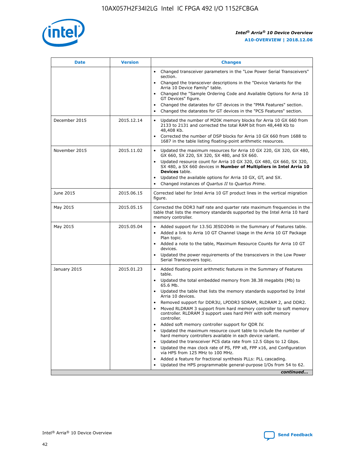

| <b>Date</b>   | <b>Version</b> | <b>Changes</b>                                                                                                                                                               |
|---------------|----------------|------------------------------------------------------------------------------------------------------------------------------------------------------------------------------|
|               |                | • Changed transceiver parameters in the "Low Power Serial Transceivers"<br>section.                                                                                          |
|               |                | • Changed the transceiver descriptions in the "Device Variants for the<br>Arria 10 Device Family" table.                                                                     |
|               |                | Changed the "Sample Ordering Code and Available Options for Arria 10<br>$\bullet$<br>GT Devices" figure.                                                                     |
|               |                | Changed the datarates for GT devices in the "PMA Features" section.                                                                                                          |
|               |                | Changed the datarates for GT devices in the "PCS Features" section.<br>$\bullet$                                                                                             |
| December 2015 | 2015.12.14     | Updated the number of M20K memory blocks for Arria 10 GX 660 from<br>2133 to 2131 and corrected the total RAM bit from 48,448 Kb to<br>48,408 Kb.                            |
|               |                | Corrected the number of DSP blocks for Arria 10 GX 660 from 1688 to<br>1687 in the table listing floating-point arithmetic resources.                                        |
| November 2015 | 2015.11.02     | Updated the maximum resources for Arria 10 GX 220, GX 320, GX 480,<br>$\bullet$<br>GX 660, SX 220, SX 320, SX 480, and SX 660.                                               |
|               |                | • Updated resource count for Arria 10 GX 320, GX 480, GX 660, SX 320,<br>SX 480, a SX 660 devices in Number of Multipliers in Intel Arria 10<br><b>Devices</b> table.        |
|               |                | Updated the available options for Arria 10 GX, GT, and SX.                                                                                                                   |
|               |                | Changed instances of Quartus II to Quartus Prime.<br>$\bullet$                                                                                                               |
| June 2015     | 2015.06.15     | Corrected label for Intel Arria 10 GT product lines in the vertical migration<br>figure.                                                                                     |
| May 2015      | 2015.05.15     | Corrected the DDR3 half rate and quarter rate maximum frequencies in the<br>table that lists the memory standards supported by the Intel Arria 10 hard<br>memory controller. |
| May 2015      | 2015.05.04     | • Added support for 13.5G JESD204b in the Summary of Features table.                                                                                                         |
|               |                | • Added a link to Arria 10 GT Channel Usage in the Arria 10 GT Package<br>Plan topic.                                                                                        |
|               |                | • Added a note to the table, Maximum Resource Counts for Arria 10 GT<br>devices.                                                                                             |
|               |                | • Updated the power requirements of the transceivers in the Low Power<br>Serial Transceivers topic.                                                                          |
| January 2015  | 2015.01.23     | • Added floating point arithmetic features in the Summary of Features<br>table.                                                                                              |
|               |                | • Updated the total embedded memory from 38.38 megabits (Mb) to<br>65.6 Mb.                                                                                                  |
|               |                | • Updated the table that lists the memory standards supported by Intel<br>Arria 10 devices.                                                                                  |
|               |                | Removed support for DDR3U, LPDDR3 SDRAM, RLDRAM 2, and DDR2.                                                                                                                 |
|               |                | Moved RLDRAM 3 support from hard memory controller to soft memory<br>controller. RLDRAM 3 support uses hard PHY with soft memory<br>controller.                              |
|               |                | Added soft memory controller support for QDR IV.<br>٠                                                                                                                        |
|               |                | Updated the maximum resource count table to include the number of<br>hard memory controllers available in each device variant.                                               |
|               |                | Updated the transceiver PCS data rate from 12.5 Gbps to 12 Gbps.<br>$\bullet$                                                                                                |
|               |                | Updated the max clock rate of PS, FPP x8, FPP x16, and Configuration<br>via HPS from 125 MHz to 100 MHz.                                                                     |
|               |                | Added a feature for fractional synthesis PLLs: PLL cascading.                                                                                                                |
|               |                | Updated the HPS programmable general-purpose I/Os from 54 to 62.<br>$\bullet$                                                                                                |
|               |                | continued                                                                                                                                                                    |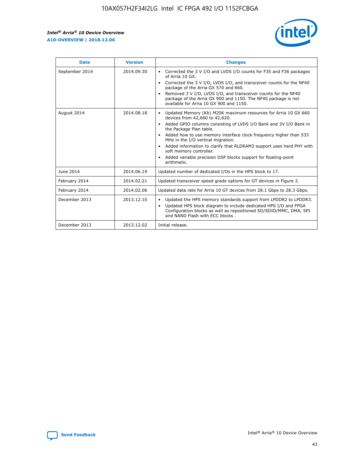r



| <b>Date</b>    | <b>Version</b> | <b>Changes</b>                                                                                                                                                                                                                                                                                                                                                                                                                                                                                                                                      |
|----------------|----------------|-----------------------------------------------------------------------------------------------------------------------------------------------------------------------------------------------------------------------------------------------------------------------------------------------------------------------------------------------------------------------------------------------------------------------------------------------------------------------------------------------------------------------------------------------------|
| September 2014 | 2014.09.30     | Corrected the 3 V I/O and LVDS I/O counts for F35 and F36 packages<br>$\bullet$<br>of Arria 10 GX.<br>Corrected the 3 V I/O, LVDS I/O, and transceiver counts for the NF40<br>$\bullet$<br>package of the Arria GX 570 and 660.<br>Removed 3 V I/O, LVDS I/O, and transceiver counts for the NF40<br>package of the Arria GX 900 and 1150. The NF40 package is not<br>available for Arria 10 GX 900 and 1150.                                                                                                                                       |
| August 2014    | 2014.08.18     | Updated Memory (Kb) M20K maximum resources for Arria 10 GX 660<br>devices from 42,660 to 42,620.<br>Added GPIO columns consisting of LVDS I/O Bank and 3V I/O Bank in<br>$\bullet$<br>the Package Plan table.<br>Added how to use memory interface clock frequency higher than 533<br>$\bullet$<br>MHz in the I/O vertical migration.<br>Added information to clarify that RLDRAM3 support uses hard PHY with<br>$\bullet$<br>soft memory controller.<br>Added variable precision DSP blocks support for floating-point<br>$\bullet$<br>arithmetic. |
| June 2014      | 2014.06.19     | Updated number of dedicated I/Os in the HPS block to 17.                                                                                                                                                                                                                                                                                                                                                                                                                                                                                            |
| February 2014  | 2014.02.21     | Updated transceiver speed grade options for GT devices in Figure 2.                                                                                                                                                                                                                                                                                                                                                                                                                                                                                 |
| February 2014  | 2014.02.06     | Updated data rate for Arria 10 GT devices from 28.1 Gbps to 28.3 Gbps.                                                                                                                                                                                                                                                                                                                                                                                                                                                                              |
| December 2013  | 2013.12.10     | Updated the HPS memory standards support from LPDDR2 to LPDDR3.<br>Updated HPS block diagram to include dedicated HPS I/O and FPGA<br>$\bullet$<br>Configuration blocks as well as repositioned SD/SDIO/MMC, DMA, SPI<br>and NAND Flash with ECC blocks.                                                                                                                                                                                                                                                                                            |
| December 2013  | 2013.12.02     | Initial release.                                                                                                                                                                                                                                                                                                                                                                                                                                                                                                                                    |